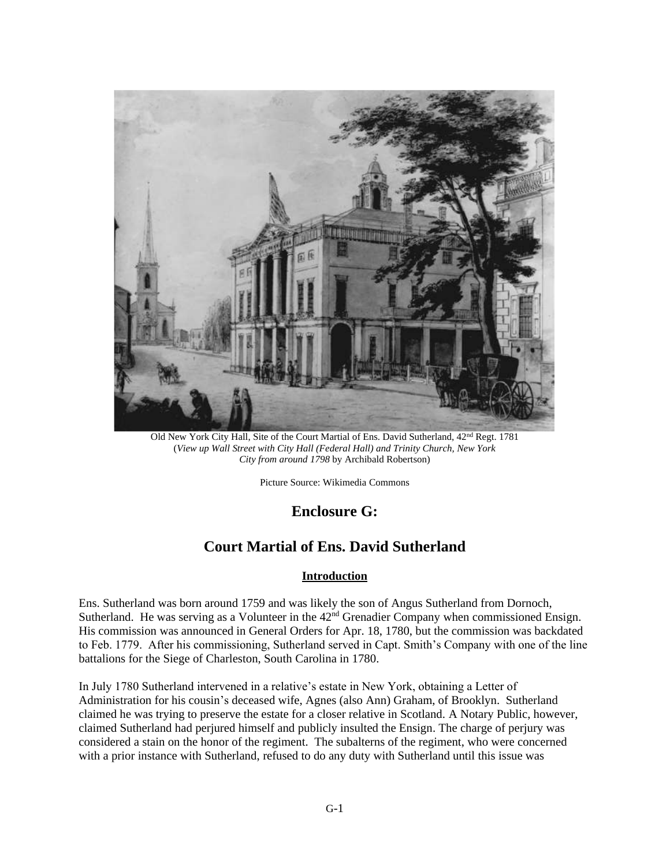

Old New York City Hall, Site of the Court Martial of Ens. David Sutherland, 42nd Regt. 1781 (*View up Wall Street with City Hall (Federal Hall) and Trinity Church, New York City from around 1798* by Archibald Robertson)

Picture Source: Wikimedia Commons

## **Enclosure G:**

# **Court Martial of Ens. David Sutherland**

### **Introduction**

Ens. Sutherland was born around 1759 and was likely the son of Angus Sutherland from Dornoch, Sutherland. He was serving as a Volunteer in the  $42<sup>nd</sup>$  Grenadier Company when commissioned Ensign. His commission was announced in General Orders for Apr. 18, 1780, but the commission was backdated to Feb. 1779. After his commissioning, Sutherland served in Capt. Smith's Company with one of the line battalions for the Siege of Charleston, South Carolina in 1780.

In July 1780 Sutherland intervened in a relative's estate in New York, obtaining a Letter of Administration for his cousin's deceased wife, Agnes (also Ann) Graham, of Brooklyn. Sutherland claimed he was trying to preserve the estate for a closer relative in Scotland. A Notary Public, however, claimed Sutherland had perjured himself and publicly insulted the Ensign. The charge of perjury was considered a stain on the honor of the regiment. The subalterns of the regiment, who were concerned with a prior instance with Sutherland, refused to do any duty with Sutherland until this issue was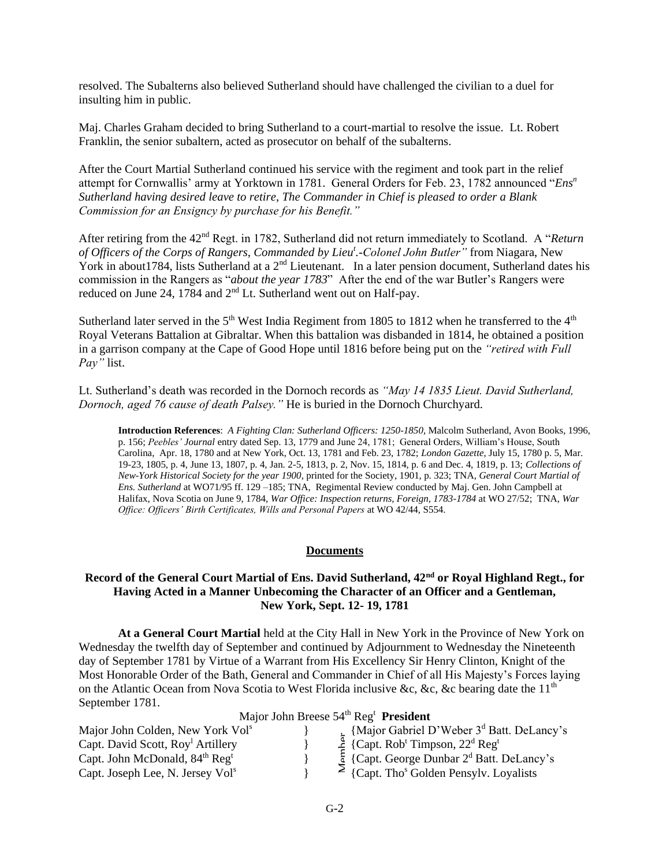resolved. The Subalterns also believed Sutherland should have challenged the civilian to a duel for insulting him in public.

Maj. Charles Graham decided to bring Sutherland to a court-martial to resolve the issue. Lt. Robert Franklin, the senior subaltern, acted as prosecutor on behalf of the subalterns.

After the Court Martial Sutherland continued his service with the regiment and took part in the relief attempt for Cornwallis' army at Yorktown in 1781. General Orders for Feb. 23, 1782 announced "*Ens<sup>n</sup> Sutherland having desired leave to retire, The Commander in Chief is pleased to order a Blank Commission for an Ensigncy by purchase for his Benefit."*

After retiring from the 42nd Regt. in 1782, Sutherland did not return immediately to Scotland. A "*Return of Officers of the Corps of Rangers, Commanded by Lieu<sup>t</sup> .-Colonel John Butler"* from Niagara, New York in about 1784, lists Sutherland at a 2<sup>nd</sup> Lieutenant. In a later pension document, Sutherland dates his commission in the Rangers as "*about the year 1783*" After the end of the war Butler's Rangers were reduced on June 24, 1784 and  $2<sup>nd</sup>$  Lt. Sutherland went out on Half-pay.

Sutherland later served in the  $5<sup>th</sup>$  West India Regiment from 1805 to 1812 when he transferred to the  $4<sup>th</sup>$ Royal Veterans Battalion at Gibraltar. When this battalion was disbanded in 1814, he obtained a position in a garrison company at the Cape of Good Hope until 1816 before being put on the *"retired with Full Pay"* list.

Lt. Sutherland's death was recorded in the Dornoch records as *"May 14 1835 Lieut. David Sutherland, Dornoch, aged 76 cause of death Palsey."* He is buried in the Dornoch Churchyard.

**Introduction References**: *A Fighting Clan: Sutherland Officers: 1250-1850*, Malcolm Sutherland, Avon Books, 1996, p. 156; *Peebles' Journal* entry dated Sep. 13, 1779 and June 24, 1781; General Orders, William's House, South Carolina, Apr. 18, 1780 and at New York, Oct. 13, 1781 and Feb. 23, 1782; *London Gazette*, July 15, 1780 p. 5, Mar. 19-23, 1805, p. 4, June 13, 1807, p. 4, Jan. 2-5, 1813, p. 2, Nov. 15, 1814, p. 6 and Dec. 4, 1819, p. 13; *Collections of New-York Historical Society for the year 1900*, printed for the Society, 1901, p. 323; TNA, *General Court Martial of Ens. Sutherland* at WO71/95 ff. 129 –185; TNA, Regimental Review conducted by Maj. Gen. John Campbell at Halifax, Nova Scotia on June 9, 1784, *War Office: Inspection returns, Foreign, 1783-1784* at WO 27/52; TNA, *War Office: Officers' Birth Certificates, Wills and Personal Papers* at WO 42/44, S554.

#### **Documents**

### **Record of the General Court Martial of Ens. David Sutherland, 42nd or Royal Highland Regt., for Having Acted in a Manner Unbecoming the Character of an Officer and a Gentleman, New York, Sept. 12- 19, 1781**

**At a General Court Martial** held at the City Hall in New York in the Province of New York on Wednesday the twelfth day of September and continued by Adjournment to Wednesday the Nineteenth day of September 1781 by Virtue of a Warrant from His Excellency Sir Henry Clinton, Knight of the Most Honorable Order of the Bath, General and Commander in Chief of all His Majesty's Forces laying on the Atlantic Ocean from Nova Scotia to West Florida inclusive &c, &c, &c bearing date the 11<sup>th</sup> September 1781.

Major John Breese 54<sup>th</sup> Reg<sup>t</sup> President

| Major John Colden, New York Vol <sup>s</sup>  | $\sim$ {Major Gabriel D'Weber 3 <sup>d</sup> Batt. DeLancy's                    |
|-----------------------------------------------|---------------------------------------------------------------------------------|
| Capt. David Scott, Roy <sup>1</sup> Artillery | $\frac{1}{2}$ {Capt. Rob <sup>t</sup> Timpson, 22 <sup>d</sup> Reg <sup>t</sup> |
| Capt. John McDonald, $84th$ Reg <sup>t</sup>  | $\frac{5}{3}$ {Capt. George Dunbar 2 <sup>d</sup> Batt. DeLancy's               |
| Capt. Joseph Lee, N. Jersey Vol <sup>s</sup>  | $\leq$ {Capt. Tho <sup>s</sup> Golden Pensylv. Loyalists                        |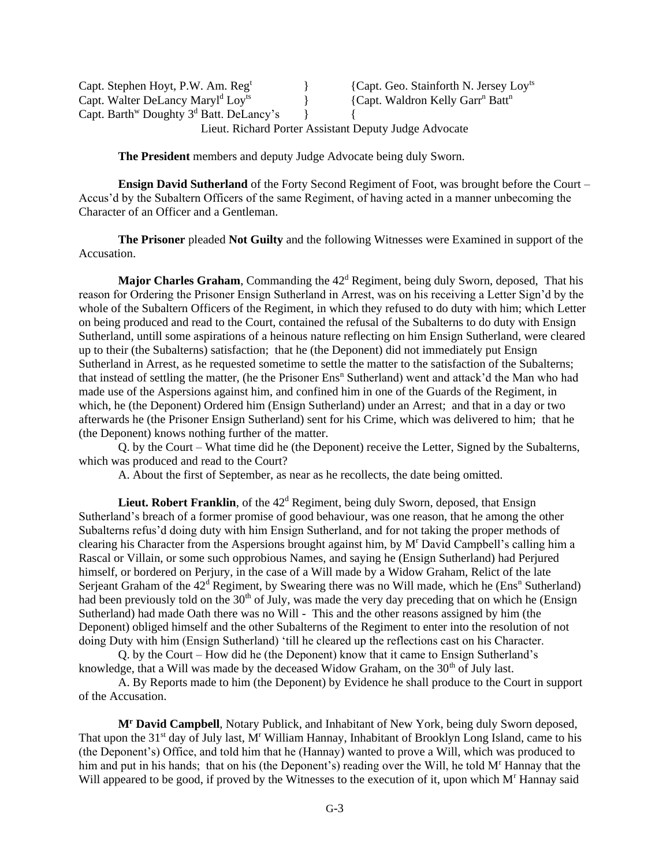| Capt. Stephen Hoyt, P.W. Am. Reg <sup>t</sup>                   | {Capt. Geo. Stainforth N. Jersey Loy <sup>ts</sup>       |
|-----------------------------------------------------------------|----------------------------------------------------------|
| Capt. Walter DeLancy Maryl <sup>d</sup> Loy <sup>ts</sup>       | {Capt. Waldron Kelly Garr <sup>n</sup> Batt <sup>n</sup> |
| Capt. Barth <sup>w</sup> Doughty 3 <sup>d</sup> Batt. DeLancy's |                                                          |
|                                                                 | Lieut. Richard Porter Assistant Deputy Judge Advocate    |

**The President** members and deputy Judge Advocate being duly Sworn.

**Ensign David Sutherland** of the Forty Second Regiment of Foot, was brought before the Court – Accus'd by the Subaltern Officers of the same Regiment, of having acted in a manner unbecoming the Character of an Officer and a Gentleman.

**The Prisoner** pleaded **Not Guilty** and the following Witnesses were Examined in support of the Accusation.

Major Charles Graham, Commanding the 42<sup>d</sup> Regiment, being duly Sworn, deposed, That his reason for Ordering the Prisoner Ensign Sutherland in Arrest, was on his receiving a Letter Sign'd by the whole of the Subaltern Officers of the Regiment, in which they refused to do duty with him; which Letter on being produced and read to the Court, contained the refusal of the Subalterns to do duty with Ensign Sutherland, untill some aspirations of a heinous nature reflecting on him Ensign Sutherland, were cleared up to their (the Subalterns) satisfaction; that he (the Deponent) did not immediately put Ensign Sutherland in Arrest, as he requested sometime to settle the matter to the satisfaction of the Subalterns; that instead of settling the matter, (he the Prisoner Ens<sup>n</sup> Sutherland) went and attack'd the Man who had made use of the Aspersions against him, and confined him in one of the Guards of the Regiment, in which, he (the Deponent) Ordered him (Ensign Sutherland) under an Arrest; and that in a day or two afterwards he (the Prisoner Ensign Sutherland) sent for his Crime, which was delivered to him; that he (the Deponent) knows nothing further of the matter.

Q. by the Court – What time did he (the Deponent) receive the Letter, Signed by the Subalterns, which was produced and read to the Court?

A. About the first of September, as near as he recollects, the date being omitted.

**Lieut. Robert Franklin**, of the  $42<sup>d</sup>$  Regiment, being duly Sworn, deposed, that Ensign Sutherland's breach of a former promise of good behaviour, was one reason, that he among the other Subalterns refus'd doing duty with him Ensign Sutherland, and for not taking the proper methods of clearing his Character from the Aspersions brought against him, by M<sup>r</sup> David Campbell's calling him a Rascal or Villain, or some such opprobious Names, and saying he (Ensign Sutherland) had Perjured himself, or bordered on Perjury, in the case of a Will made by a Widow Graham, Relict of the late Serjeant Graham of the  $42<sup>d</sup>$  Regiment, by Swearing there was no Will made, which he (Ens<sup>n</sup> Sutherland) had been previously told on the  $30<sup>th</sup>$  of July, was made the very day preceding that on which he (Ensign Sutherland) had made Oath there was no Will - This and the other reasons assigned by him (the Deponent) obliged himself and the other Subalterns of the Regiment to enter into the resolution of not doing Duty with him (Ensign Sutherland) 'till he cleared up the reflections cast on his Character.

Q. by the Court – How did he (the Deponent) know that it came to Ensign Sutherland's knowledge, that a Will was made by the deceased Widow Graham, on the  $30<sup>th</sup>$  of July last.

A. By Reports made to him (the Deponent) by Evidence he shall produce to the Court in support of the Accusation.

**M<sup>r</sup> David Campbell**, Notary Publick, and Inhabitant of New York, being duly Sworn deposed, That upon the 31<sup>st</sup> day of July last, M<sup>r</sup> William Hannay, Inhabitant of Brooklyn Long Island, came to his (the Deponent's) Office, and told him that he (Hannay) wanted to prove a Will, which was produced to him and put in his hands; that on his (the Deponent's) reading over the Will, he told M<sup>r</sup> Hannay that the Will appeared to be good, if proved by the Witnesses to the execution of it, upon which M<sup>r</sup> Hannay said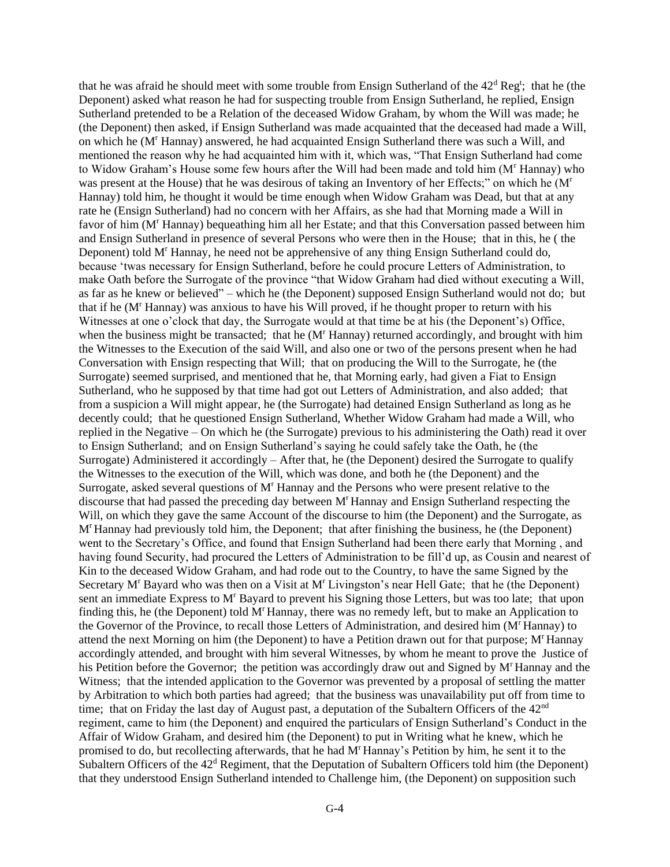that he was afraid he should meet with some trouble from Ensign Sutherland of the  $42<sup>d</sup>$  Reg<sup>t</sup>; that he (the Deponent) asked what reason he had for suspecting trouble from Ensign Sutherland, he replied, Ensign Sutherland pretended to be a Relation of the deceased Widow Graham, by whom the Will was made; he (the Deponent) then asked, if Ensign Sutherland was made acquainted that the deceased had made a Will, on which he (M<sup>r</sup> Hannay) answered, he had acquainted Ensign Sutherland there was such a Will, and mentioned the reason why he had acquainted him with it, which was, "That Ensign Sutherland had come to Widow Graham's House some few hours after the Will had been made and told him (M<sup>r</sup> Hannay) who was present at the House) that he was desirous of taking an Inventory of her Effects;" on which he (M<sup>r</sup> Hannay) told him, he thought it would be time enough when Widow Graham was Dead, but that at any rate he (Ensign Sutherland) had no concern with her Affairs, as she had that Morning made a Will in favor of him (M<sup>r</sup> Hannay) bequeathing him all her Estate; and that this Conversation passed between him and Ensign Sutherland in presence of several Persons who were then in the House; that in this, he ( the Deponent) told M<sup>r</sup> Hannay, he need not be apprehensive of any thing Ensign Sutherland could do, because 'twas necessary for Ensign Sutherland, before he could procure Letters of Administration, to make Oath before the Surrogate of the province "that Widow Graham had died without executing a Will, as far as he knew or believed" – which he (the Deponent) supposed Ensign Sutherland would not do; but that if he (M<sup>r</sup> Hannay) was anxious to have his Will proved, if he thought proper to return with his Witnesses at one o'clock that day, the Surrogate would at that time be at his (the Deponent's) Office, when the business might be transacted; that he  $(M<sup>r</sup>$  Hannay) returned accordingly, and brought with him the Witnesses to the Execution of the said Will, and also one or two of the persons present when he had Conversation with Ensign respecting that Will; that on producing the Will to the Surrogate, he (the Surrogate) seemed surprised, and mentioned that he, that Morning early, had given a Fiat to Ensign Sutherland, who he supposed by that time had got out Letters of Administration, and also added; that from a suspicion a Will might appear, he (the Surrogate) had detained Ensign Sutherland as long as he decently could; that he questioned Ensign Sutherland, Whether Widow Graham had made a Will, who replied in the Negative – On which he (the Surrogate) previous to his administering the Oath) read it over to Ensign Sutherland; and on Ensign Sutherland's saying he could safely take the Oath, he (the Surrogate) Administered it accordingly – After that, he (the Deponent) desired the Surrogate to qualify the Witnesses to the execution of the Will, which was done, and both he (the Deponent) and the Surrogate, asked several questions of M<sup>r</sup> Hannay and the Persons who were present relative to the discourse that had passed the preceding day between M<sup>r</sup> Hannay and Ensign Sutherland respecting the Will, on which they gave the same Account of the discourse to him (the Deponent) and the Surrogate, as M<sup>r</sup>Hannay had previously told him, the Deponent; that after finishing the business, he (the Deponent) went to the Secretary's Office, and found that Ensign Sutherland had been there early that Morning , and having found Security, had procured the Letters of Administration to be fill'd up, as Cousin and nearest of Kin to the deceased Widow Graham, and had rode out to the Country, to have the same Signed by the Secretary M<sup>r</sup> Bayard who was then on a Visit at M<sup>r</sup> Livingston's near Hell Gate; that he (the Deponent) sent an immediate Express to M<sup>r</sup> Bayard to prevent his Signing those Letters, but was too late; that upon finding this, he (the Deponent) told M<sup>r</sup> Hannay, there was no remedy left, but to make an Application to the Governor of the Province, to recall those Letters of Administration, and desired him (M<sup>T</sup> Hannay) to attend the next Morning on him (the Deponent) to have a Petition drawn out for that purpose; M<sup>r</sup>Hannay accordingly attended, and brought with him several Witnesses, by whom he meant to prove the Justice of his Petition before the Governor; the petition was accordingly draw out and Signed by M<sup>r</sup> Hannay and the Witness; that the intended application to the Governor was prevented by a proposal of settling the matter by Arbitration to which both parties had agreed; that the business was unavailability put off from time to time; that on Friday the last day of August past, a deputation of the Subaltern Officers of the 42<sup>nd</sup> regiment, came to him (the Deponent) and enquired the particulars of Ensign Sutherland's Conduct in the Affair of Widow Graham, and desired him (the Deponent) to put in Writing what he knew, which he promised to do, but recollecting afterwards, that he had M<sup>r</sup>Hannay's Petition by him, he sent it to the Subaltern Officers of the  $42<sup>d</sup>$  Regiment, that the Deputation of Subaltern Officers told him (the Deponent) that they understood Ensign Sutherland intended to Challenge him, (the Deponent) on supposition such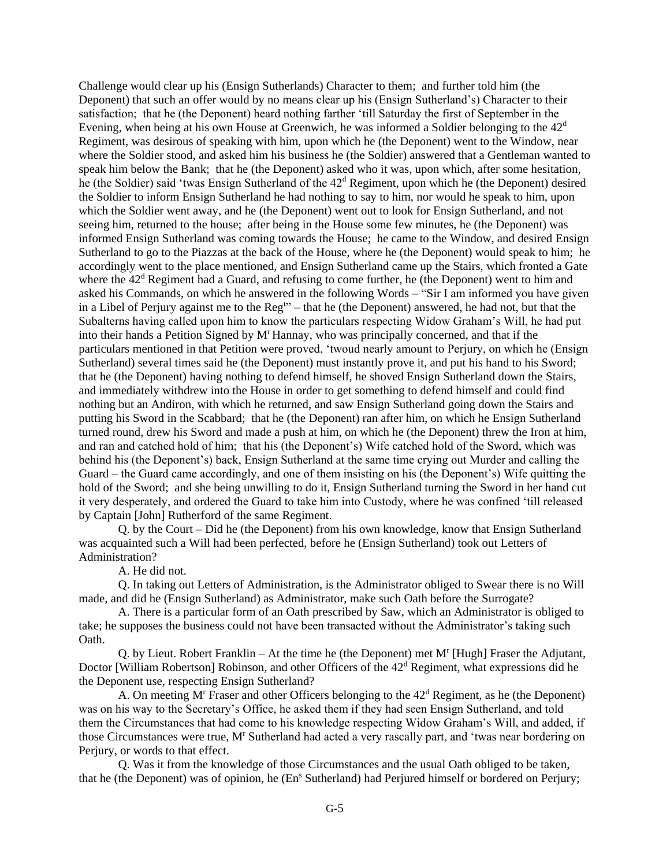Challenge would clear up his (Ensign Sutherlands) Character to them; and further told him (the Deponent) that such an offer would by no means clear up his (Ensign Sutherland's) Character to their satisfaction; that he (the Deponent) heard nothing farther 'till Saturday the first of September in the Evening, when being at his own House at Greenwich, he was informed a Soldier belonging to the  $42<sup>d</sup>$ Regiment, was desirous of speaking with him, upon which he (the Deponent) went to the Window, near where the Soldier stood, and asked him his business he (the Soldier) answered that a Gentleman wanted to speak him below the Bank; that he (the Deponent) asked who it was, upon which, after some hesitation, he (the Soldier) said 'twas Ensign Sutherland of the 42<sup>d</sup> Regiment, upon which he (the Deponent) desired the Soldier to inform Ensign Sutherland he had nothing to say to him, nor would he speak to him, upon which the Soldier went away, and he (the Deponent) went out to look for Ensign Sutherland, and not seeing him, returned to the house; after being in the House some few minutes, he (the Deponent) was informed Ensign Sutherland was coming towards the House; he came to the Window, and desired Ensign Sutherland to go to the Piazzas at the back of the House, where he (the Deponent) would speak to him; he accordingly went to the place mentioned, and Ensign Sutherland came up the Stairs, which fronted a Gate where the  $42<sup>d</sup>$  Regiment had a Guard, and refusing to come further, he (the Deponent) went to him and asked his Commands, on which he answered in the following Words – "Sir I am informed you have given in a Libel of Perjury against me to the Reg<sup>t</sup><sup>\*</sup> – that he (the Deponent) answered, he had not, but that the Subalterns having called upon him to know the particulars respecting Widow Graham's Will, he had put into their hands a Petition Signed by M<sup>r</sup> Hannay, who was principally concerned, and that if the particulars mentioned in that Petition were proved, 'twoud nearly amount to Perjury, on which he (Ensign Sutherland) several times said he (the Deponent) must instantly prove it, and put his hand to his Sword; that he (the Deponent) having nothing to defend himself, he shoved Ensign Sutherland down the Stairs, and immediately withdrew into the House in order to get something to defend himself and could find nothing but an Andiron, with which he returned, and saw Ensign Sutherland going down the Stairs and putting his Sword in the Scabbard; that he (the Deponent) ran after him, on which he Ensign Sutherland turned round, drew his Sword and made a push at him, on which he (the Deponent) threw the Iron at him, and ran and catched hold of him; that his (the Deponent's) Wife catched hold of the Sword, which was behind his (the Deponent's) back, Ensign Sutherland at the same time crying out Murder and calling the Guard – the Guard came accordingly, and one of them insisting on his (the Deponent's) Wife quitting the hold of the Sword; and she being unwilling to do it, Ensign Sutherland turning the Sword in her hand cut it very desperately, and ordered the Guard to take him into Custody, where he was confined 'till released by Captain [John] Rutherford of the same Regiment.

Q. by the Court – Did he (the Deponent) from his own knowledge, know that Ensign Sutherland was acquainted such a Will had been perfected, before he (Ensign Sutherland) took out Letters of Administration?

A. He did not.

Q. In taking out Letters of Administration, is the Administrator obliged to Swear there is no Will made, and did he (Ensign Sutherland) as Administrator, make such Oath before the Surrogate?

A. There is a particular form of an Oath prescribed by Saw, which an Administrator is obliged to take; he supposes the business could not have been transacted without the Administrator's taking such Oath.

Q. by Lieut. Robert Franklin – At the time he (the Deponent) met M<sup>r</sup> [Hugh] Fraser the Adjutant, Doctor [William Robertson] Robinson, and other Officers of the  $42<sup>d</sup>$  Regiment, what expressions did he the Deponent use, respecting Ensign Sutherland?

A. On meeting  $M<sup>r</sup>$  Fraser and other Officers belonging to the  $42<sup>d</sup>$  Regiment, as he (the Deponent) was on his way to the Secretary's Office, he asked them if they had seen Ensign Sutherland, and told them the Circumstances that had come to his knowledge respecting Widow Graham's Will, and added, if those Circumstances were true, M<sup>r</sup> Sutherland had acted a very rascally part, and 'twas near bordering on Perjury, or words to that effect.

Q. Was it from the knowledge of those Circumstances and the usual Oath obliged to be taken, that he (the Deponent) was of opinion, he (En<sup>s</sup> Sutherland) had Perjured himself or bordered on Perjury;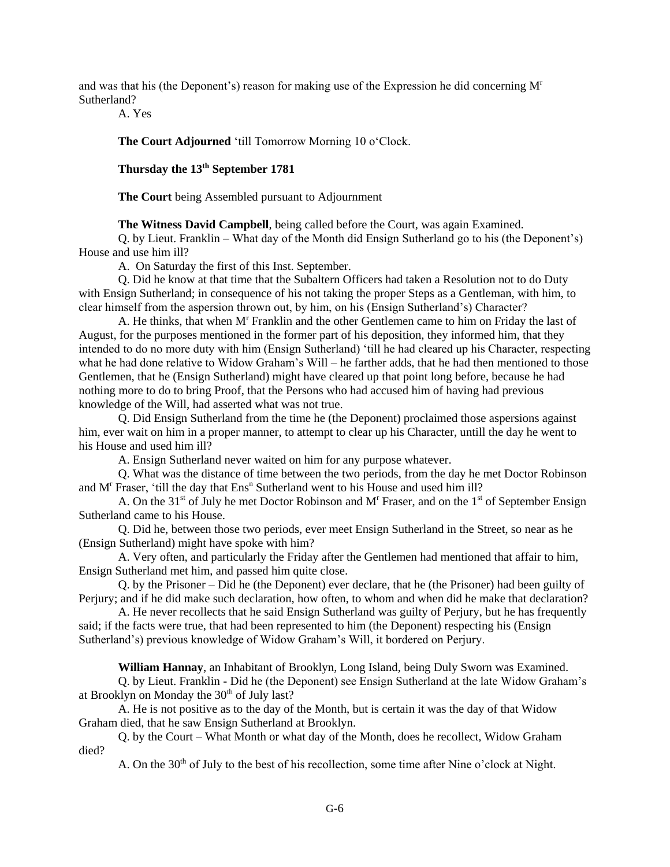and was that his (the Deponent's) reason for making use of the Expression he did concerning M<sup>r</sup> Sutherland?

A. Yes

**The Court Adjourned** 'till Tomorrow Morning 10 o'Clock.

**Thursday the 13th September 1781**

**The Court** being Assembled pursuant to Adjournment

**The Witness David Campbell**, being called before the Court, was again Examined.

Q. by Lieut. Franklin – What day of the Month did Ensign Sutherland go to his (the Deponent's) House and use him ill?

A. On Saturday the first of this Inst. September.

Q. Did he know at that time that the Subaltern Officers had taken a Resolution not to do Duty with Ensign Sutherland; in consequence of his not taking the proper Steps as a Gentleman, with him, to clear himself from the aspersion thrown out, by him, on his (Ensign Sutherland's) Character?

A. He thinks, that when M<sup>r</sup> Franklin and the other Gentlemen came to him on Friday the last of August, for the purposes mentioned in the former part of his deposition, they informed him, that they intended to do no more duty with him (Ensign Sutherland) 'till he had cleared up his Character, respecting what he had done relative to Widow Graham's Will – he farther adds, that he had then mentioned to those Gentlemen, that he (Ensign Sutherland) might have cleared up that point long before, because he had nothing more to do to bring Proof, that the Persons who had accused him of having had previous knowledge of the Will, had asserted what was not true.

Q. Did Ensign Sutherland from the time he (the Deponent) proclaimed those aspersions against him, ever wait on him in a proper manner, to attempt to clear up his Character, untill the day he went to his House and used him ill?

A. Ensign Sutherland never waited on him for any purpose whatever.

Q. What was the distance of time between the two periods, from the day he met Doctor Robinson and M<sup>r</sup> Fraser, 'till the day that Ens<sup>n</sup> Sutherland went to his House and used him ill?

A. On the 31<sup>st</sup> of July he met Doctor Robinson and M<sup>r</sup> Fraser, and on the 1<sup>st</sup> of September Ensign Sutherland came to his House.

Q. Did he, between those two periods, ever meet Ensign Sutherland in the Street, so near as he (Ensign Sutherland) might have spoke with him?

A. Very often, and particularly the Friday after the Gentlemen had mentioned that affair to him, Ensign Sutherland met him, and passed him quite close.

Q. by the Prisoner – Did he (the Deponent) ever declare, that he (the Prisoner) had been guilty of Perjury; and if he did make such declaration, how often, to whom and when did he make that declaration?

A. He never recollects that he said Ensign Sutherland was guilty of Perjury, but he has frequently said; if the facts were true, that had been represented to him (the Deponent) respecting his (Ensign Sutherland's) previous knowledge of Widow Graham's Will, it bordered on Perjury.

**William Hannay**, an Inhabitant of Brooklyn, Long Island, being Duly Sworn was Examined.

Q. by Lieut. Franklin - Did he (the Deponent) see Ensign Sutherland at the late Widow Graham's at Brooklyn on Monday the  $30<sup>th</sup>$  of July last?

A. He is not positive as to the day of the Month, but is certain it was the day of that Widow Graham died, that he saw Ensign Sutherland at Brooklyn.

Q. by the Court – What Month or what day of the Month, does he recollect, Widow Graham died?

A. On the  $30<sup>th</sup>$  of July to the best of his recollection, some time after Nine o'clock at Night.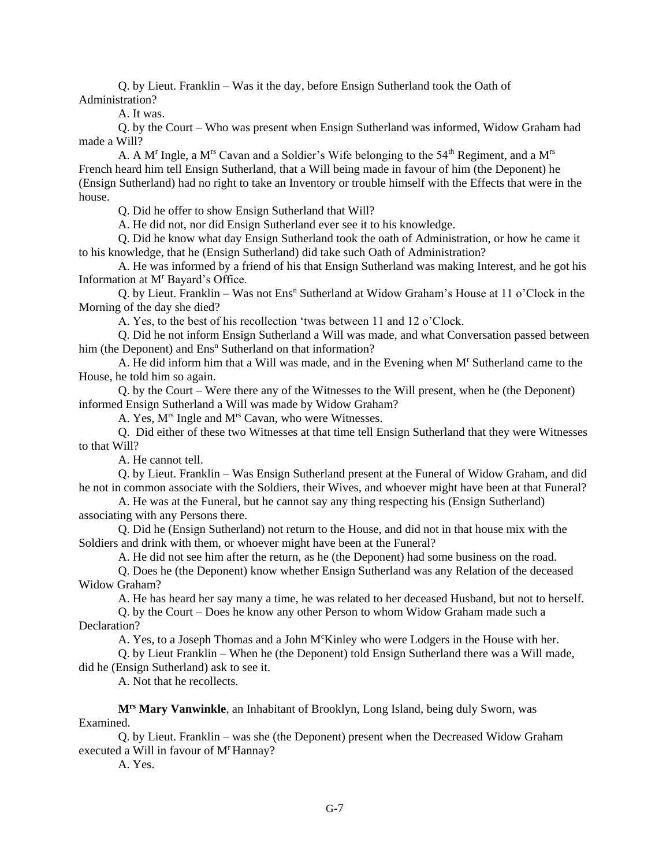Q. by Lieut. Franklin – Was it the day, before Ensign Sutherland took the Oath of Administration?

A. It was.

Q. by the Court – Who was present when Ensign Sutherland was informed, Widow Graham had made a Will?

A. A M<sup>r</sup> Ingle, a M<sup>rs</sup> Cavan and a Soldier's Wife belonging to the 54<sup>th</sup> Regiment, and a M<sup>rs</sup> French heard him tell Ensign Sutherland, that a Will being made in favour of him (the Deponent) he (Ensign Sutherland) had no right to take an Inventory or trouble himself with the Effects that were in the house.

Q. Did he offer to show Ensign Sutherland that Will?

A. He did not, nor did Ensign Sutherland ever see it to his knowledge.

Q. Did he know what day Ensign Sutherland took the oath of Administration, or how he came it to his knowledge, that he (Ensign Sutherland) did take such Oath of Administration?

A. He was informed by a friend of his that Ensign Sutherland was making Interest, and he got his Information at M<sup>r</sup> Bayard's Office.

Q. by Lieut. Franklin – Was not  $Ens<sup>n</sup> Sutherland$  at Widow Graham's House at 11 o'Clock in the Morning of the day she died?

A. Yes, to the best of his recollection 'twas between 11 and 12 o'Clock.

Q. Did he not inform Ensign Sutherland a Will was made, and what Conversation passed between him (the Deponent) and Ens<sup>n</sup> Sutherland on that information?

A. He did inform him that a Will was made, and in the Evening when M<sup>r</sup> Sutherland came to the House, he told him so again.

Q. by the Court – Were there any of the Witnesses to the Will present, when he (the Deponent) informed Ensign Sutherland a Will was made by Widow Graham?

A. Yes, M<sup>rs</sup> Ingle and M<sup>rs</sup> Cavan, who were Witnesses.

Q. Did either of these two Witnesses at that time tell Ensign Sutherland that they were Witnesses to that Will?

A. He cannot tell.

Q. by Lieut. Franklin – Was Ensign Sutherland present at the Funeral of Widow Graham, and did he not in common associate with the Soldiers, their Wives, and whoever might have been at that Funeral?

A. He was at the Funeral, but he cannot say any thing respecting his (Ensign Sutherland) associating with any Persons there.

Q. Did he (Ensign Sutherland) not return to the House, and did not in that house mix with the Soldiers and drink with them, or whoever might have been at the Funeral?

A. He did not see him after the return, as he (the Deponent) had some business on the road.

Q. Does he (the Deponent) know whether Ensign Sutherland was any Relation of the deceased Widow Graham?

A. He has heard her say many a time, he was related to her deceased Husband, but not to herself.

Q. by the Court – Does he know any other Person to whom Widow Graham made such a Declaration?

A. Yes, to a Joseph Thomas and a John  $M<sup>c</sup>$ Kinley who were Lodgers in the House with her.

Q. by Lieut Franklin – When he (the Deponent) told Ensign Sutherland there was a Will made, did he (Ensign Sutherland) ask to see it.

A. Not that he recollects.

**Mrs Mary Vanwinkle**, an Inhabitant of Brooklyn, Long Island, being duly Sworn, was Examined.

Q. by Lieut. Franklin – was she (the Deponent) present when the Decreased Widow Graham executed a Will in favour of M<sup>r</sup> Hannay?

A. Yes.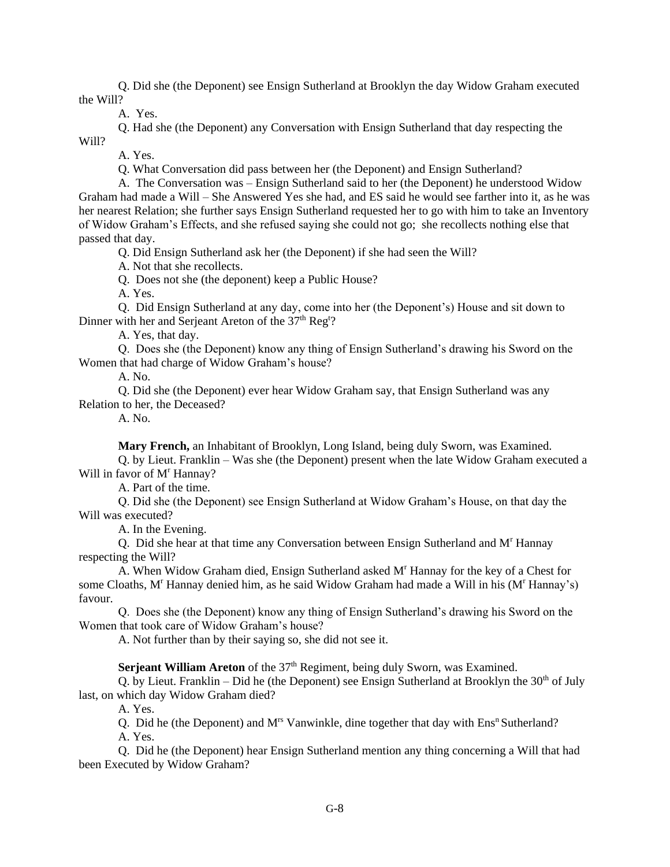Q. Did she (the Deponent) see Ensign Sutherland at Brooklyn the day Widow Graham executed the Will?

A. Yes.

Q. Had she (the Deponent) any Conversation with Ensign Sutherland that day respecting the

Will?

A. Yes.

Q. What Conversation did pass between her (the Deponent) and Ensign Sutherland?

A. The Conversation was – Ensign Sutherland said to her (the Deponent) he understood Widow Graham had made a Will – She Answered Yes she had, and ES said he would see farther into it, as he was her nearest Relation; she further says Ensign Sutherland requested her to go with him to take an Inventory of Widow Graham's Effects, and she refused saying she could not go; she recollects nothing else that passed that day.

Q. Did Ensign Sutherland ask her (the Deponent) if she had seen the Will?

A. Not that she recollects.

Q. Does not she (the deponent) keep a Public House?

A. Yes.

Q. Did Ensign Sutherland at any day, come into her (the Deponent's) House and sit down to Dinner with her and Serjeant Areton of the 37<sup>th</sup> Reg<sup>t</sup>?

A. Yes, that day.

Q. Does she (the Deponent) know any thing of Ensign Sutherland's drawing his Sword on the Women that had charge of Widow Graham's house?

A. No.

Q. Did she (the Deponent) ever hear Widow Graham say, that Ensign Sutherland was any Relation to her, the Deceased?

A. No.

**Mary French,** an Inhabitant of Brooklyn, Long Island, being duly Sworn, was Examined.

Q. by Lieut. Franklin – Was she (the Deponent) present when the late Widow Graham executed a Will in favor of M<sup>r</sup> Hannav?

A. Part of the time.

Q. Did she (the Deponent) see Ensign Sutherland at Widow Graham's House, on that day the Will was executed?

A. In the Evening.

Q. Did she hear at that time any Conversation between Ensign Sutherland and M<sup>r</sup> Hannay respecting the Will?

A. When Widow Graham died, Ensign Sutherland asked M<sup>r</sup> Hannay for the key of a Chest for some Cloaths, M<sup>r</sup> Hannay denied him, as he said Widow Graham had made a Will in his (M<sup>r</sup> Hannay's) favour.

Q. Does she (the Deponent) know any thing of Ensign Sutherland's drawing his Sword on the Women that took care of Widow Graham's house?

A. Not further than by their saying so, she did not see it.

**Serjeant William Areton** of the 37<sup>th</sup> Regiment, being duly Sworn, was Examined.

Q. by Lieut. Franklin – Did he (the Deponent) see Ensign Sutherland at Brooklyn the  $30<sup>th</sup>$  of July last, on which day Widow Graham died?

A. Yes.

Q. Did he (the Deponent) and  $M^{rs}$  Vanwinkle, dine together that day with  $Ens<sup>n</sup> Sutherland?$ A. Yes.

Q. Did he (the Deponent) hear Ensign Sutherland mention any thing concerning a Will that had been Executed by Widow Graham?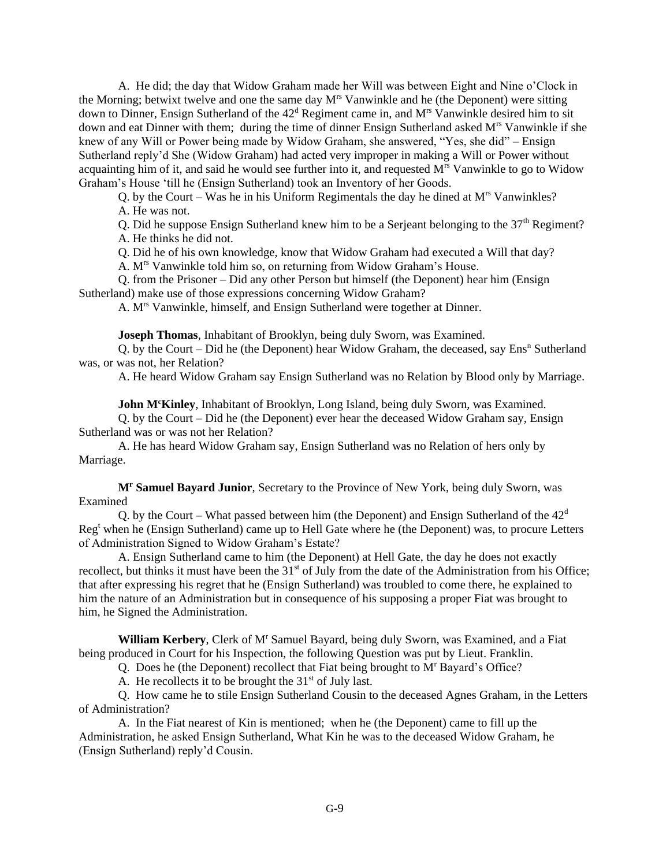A. He did; the day that Widow Graham made her Will was between Eight and Nine o'Clock in the Morning; betwixt twelve and one the same day Mrs Vanwinkle and he (the Deponent) were sitting down to Dinner, Ensign Sutherland of the  $42<sup>d</sup>$  Regiment came in, and  $M<sup>rs</sup>$  Vanwinkle desired him to sit down and eat Dinner with them; during the time of dinner Ensign Sutherland asked M<sup>rs</sup> Vanwinkle if she knew of any Will or Power being made by Widow Graham, she answered, "Yes, she did" – Ensign Sutherland reply'd She (Widow Graham) had acted very improper in making a Will or Power without acquainting him of it, and said he would see further into it, and requested Mrs Vanwinkle to go to Widow Graham's House 'till he (Ensign Sutherland) took an Inventory of her Goods.

Q. by the Court – Was he in his Uniform Regimentals the day he dined at  $M<sup>rs</sup>$  Vanwinkles? A. He was not.

Q. Did he suppose Ensign Sutherland knew him to be a Serjeant belonging to the  $37<sup>th</sup>$  Regiment? A. He thinks he did not.

Q. Did he of his own knowledge, know that Widow Graham had executed a Will that day?

A. Mrs Vanwinkle told him so, on returning from Widow Graham's House.

Q. from the Prisoner – Did any other Person but himself (the Deponent) hear him (Ensign Sutherland) make use of those expressions concerning Widow Graham?

A. Mrs Vanwinkle, himself, and Ensign Sutherland were together at Dinner.

**Joseph Thomas**, Inhabitant of Brooklyn, being duly Sworn, was Examined.

Q. by the Court – Did he (the Deponent) hear Widow Graham, the deceased, say  $Ens<sup>n</sup> Sutherland$ was, or was not, her Relation?

A. He heard Widow Graham say Ensign Sutherland was no Relation by Blood only by Marriage.

**John M<sup>c</sup>Kinley**, Inhabitant of Brooklyn, Long Island, being duly Sworn, was Examined. Q. by the Court – Did he (the Deponent) ever hear the deceased Widow Graham say, Ensign Sutherland was or was not her Relation?

A. He has heard Widow Graham say, Ensign Sutherland was no Relation of hers only by Marriage.

**M<sup>r</sup> Samuel Bayard Junior**, Secretary to the Province of New York, being duly Sworn, was Examined

Q. by the Court – What passed between him (the Deponent) and Ensign Sutherland of the  $42<sup>d</sup>$ Reg<sup>t</sup> when he (Ensign Sutherland) came up to Hell Gate where he (the Deponent) was, to procure Letters of Administration Signed to Widow Graham's Estate?

A. Ensign Sutherland came to him (the Deponent) at Hell Gate, the day he does not exactly recollect, but thinks it must have been the 31<sup>st</sup> of July from the date of the Administration from his Office; that after expressing his regret that he (Ensign Sutherland) was troubled to come there, he explained to him the nature of an Administration but in consequence of his supposing a proper Fiat was brought to him, he Signed the Administration.

**William Kerbery**, Clerk of M<sup>r</sup> Samuel Bayard, being duly Sworn, was Examined, and a Fiat being produced in Court for his Inspection, the following Question was put by Lieut. Franklin.

Q. Does he (the Deponent) recollect that Fiat being brought to M<sup>r</sup> Bayard's Office?

A. He recollects it to be brought the  $31<sup>st</sup>$  of July last.

Q. How came he to stile Ensign Sutherland Cousin to the deceased Agnes Graham, in the Letters of Administration?

A. In the Fiat nearest of Kin is mentioned; when he (the Deponent) came to fill up the Administration, he asked Ensign Sutherland, What Kin he was to the deceased Widow Graham, he (Ensign Sutherland) reply'd Cousin.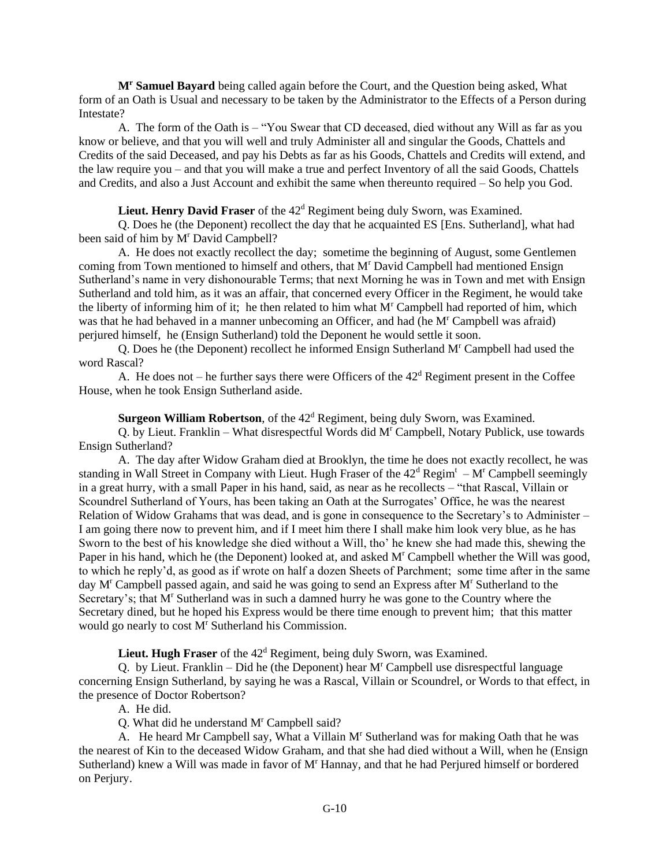**M<sup>r</sup> Samuel Bayard** being called again before the Court, and the Question being asked, What form of an Oath is Usual and necessary to be taken by the Administrator to the Effects of a Person during Intestate?

A. The form of the Oath is – "You Swear that CD deceased, died without any Will as far as you know or believe, and that you will well and truly Administer all and singular the Goods, Chattels and Credits of the said Deceased, and pay his Debts as far as his Goods, Chattels and Credits will extend, and the law require you – and that you will make a true and perfect Inventory of all the said Goods, Chattels and Credits, and also a Just Account and exhibit the same when thereunto required – So help you God.

**Lieut. Henry David Fraser** of the 42<sup>d</sup> Regiment being duly Sworn, was Examined.

Q. Does he (the Deponent) recollect the day that he acquainted ES [Ens. Sutherland], what had been said of him by M<sup>r</sup> David Campbell?

A. He does not exactly recollect the day; sometime the beginning of August, some Gentlemen coming from Town mentioned to himself and others, that M<sup>r</sup> David Campbell had mentioned Ensign Sutherland's name in very dishonourable Terms; that next Morning he was in Town and met with Ensign Sutherland and told him, as it was an affair, that concerned every Officer in the Regiment, he would take the liberty of informing him of it; he then related to him what M<sup>r</sup> Campbell had reported of him, which was that he had behaved in a manner unbecoming an Officer, and had (he M<sup>r</sup> Campbell was afraid) perjured himself, he (Ensign Sutherland) told the Deponent he would settle it soon.

Q. Does he (the Deponent) recollect he informed Ensign Sutherland M<sup>r</sup> Campbell had used the word Rascal?

A. He does not – he further says there were Officers of the  $42<sup>d</sup>$  Regiment present in the Coffee House, when he took Ensign Sutherland aside.

**Surgeon William Robertson**, of the 42<sup>d</sup> Regiment, being duly Sworn, was Examined.

Q. by Lieut. Franklin – What disrespectful Words did M<sup>r</sup> Campbell, Notary Publick, use towards Ensign Sutherland?

A. The day after Widow Graham died at Brooklyn, the time he does not exactly recollect, he was standing in Wall Street in Company with Lieut. Hugh Fraser of the  $42<sup>d</sup>$  Regim<sup>t</sup> – M<sup>r</sup> Campbell seemingly in a great hurry, with a small Paper in his hand, said, as near as he recollects – "that Rascal, Villain or Scoundrel Sutherland of Yours, has been taking an Oath at the Surrogates' Office, he was the nearest Relation of Widow Grahams that was dead, and is gone in consequence to the Secretary's to Administer – I am going there now to prevent him, and if I meet him there I shall make him look very blue, as he has Sworn to the best of his knowledge she died without a Will, tho' he knew she had made this, shewing the Paper in his hand, which he (the Deponent) looked at, and asked M<sup>r</sup> Campbell whether the Will was good, to which he reply'd, as good as if wrote on half a dozen Sheets of Parchment; some time after in the same day M<sup>r</sup> Campbell passed again, and said he was going to send an Express after M<sup>r</sup> Sutherland to the Secretary's; that M<sup>r</sup> Sutherland was in such a damned hurry he was gone to the Country where the Secretary dined, but he hoped his Express would be there time enough to prevent him; that this matter would go nearly to cost M<sup>r</sup> Sutherland his Commission.

**Lieut. Hugh Fraser** of the 42<sup>d</sup> Regiment, being duly Sworn, was Examined.

Q. by Lieut. Franklin – Did he (the Deponent) hear  $M<sup>r</sup>$  Campbell use disrespectful language concerning Ensign Sutherland, by saying he was a Rascal, Villain or Scoundrel, or Words to that effect, in the presence of Doctor Robertson?

A. He did.

Q. What did he understand M<sup>r</sup> Campbell said?

A. He heard Mr Campbell say, What a Villain M<sup>r</sup> Sutherland was for making Oath that he was the nearest of Kin to the deceased Widow Graham, and that she had died without a Will, when he (Ensign Sutherland) knew a Will was made in favor of M<sup>r</sup> Hannay, and that he had Perjured himself or bordered on Perjury.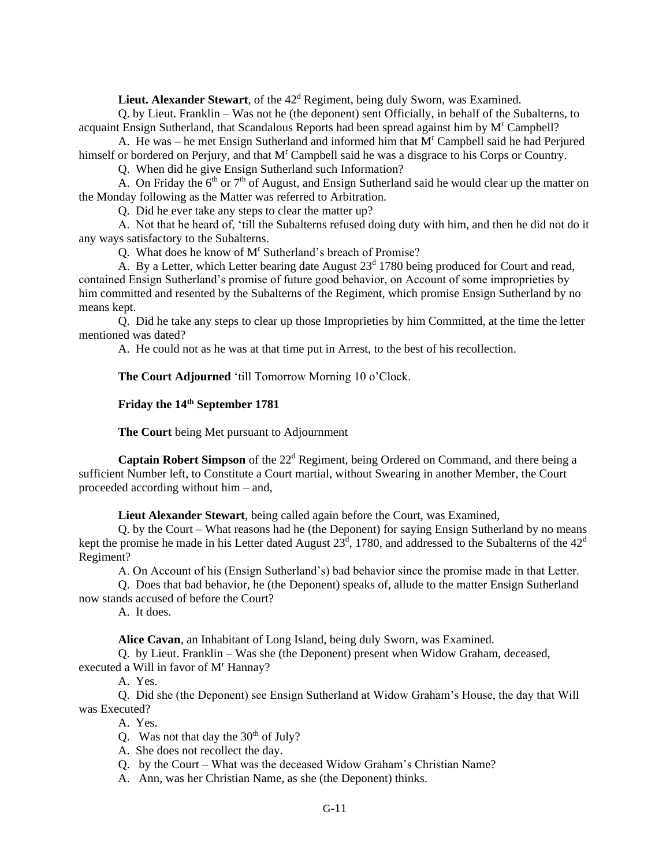**Lieut. Alexander Stewart**, of the 42<sup>d</sup> Regiment, being duly Sworn, was Examined.

Q. by Lieut. Franklin – Was not he (the deponent) sent Officially, in behalf of the Subalterns, to acquaint Ensign Sutherland, that Scandalous Reports had been spread against him by M<sup>r</sup> Campbell?

A. He was – he met Ensign Sutherland and informed him that M<sup>r</sup> Campbell said he had Perjured himself or bordered on Perjury, and that M<sup>r</sup> Campbell said he was a disgrace to his Corps or Country.

Q. When did he give Ensign Sutherland such Information?

A. On Friday the  $6<sup>th</sup>$  or  $7<sup>th</sup>$  of August, and Ensign Sutherland said he would clear up the matter on the Monday following as the Matter was referred to Arbitration.

Q. Did he ever take any steps to clear the matter up?

A. Not that he heard of, 'till the Subalterns refused doing duty with him, and then he did not do it any ways satisfactory to the Subalterns.

Q. What does he know of M<sup>r</sup> Sutherland's breach of Promise?

A. By a Letter, which Letter bearing date August  $23<sup>d</sup>$  1780 being produced for Court and read, contained Ensign Sutherland's promise of future good behavior, on Account of some improprieties by him committed and resented by the Subalterns of the Regiment, which promise Ensign Sutherland by no means kept.

Q. Did he take any steps to clear up those Improprieties by him Committed, at the time the letter mentioned was dated?

A. He could not as he was at that time put in Arrest, to the best of his recollection.

**The Court Adjourned** 'till Tomorrow Morning 10 o'Clock.

### **Friday the 14th September 1781**

**The Court** being Met pursuant to Adjournment

**Captain Robert Simpson** of the 22<sup>d</sup> Regiment, being Ordered on Command, and there being a sufficient Number left, to Constitute a Court martial, without Swearing in another Member, the Court proceeded according without him – and,

**Lieut Alexander Stewart**, being called again before the Court, was Examined,

Q. by the Court – What reasons had he (the Deponent) for saying Ensign Sutherland by no means kept the promise he made in his Letter dated August  $23^d$ , 1780, and addressed to the Subalterns of the  $42^d$ Regiment?

A. On Account of his (Ensign Sutherland's) bad behavior since the promise made in that Letter.

Q. Does that bad behavior, he (the Deponent) speaks of, allude to the matter Ensign Sutherland now stands accused of before the Court?

A. It does.

**Alice Cavan**, an Inhabitant of Long Island, being duly Sworn, was Examined.

Q. by Lieut. Franklin – Was she (the Deponent) present when Widow Graham, deceased, executed a Will in favor of M<sup>r</sup> Hannay?

A. Yes.

Q. Did she (the Deponent) see Ensign Sutherland at Widow Graham's House, the day that Will was Executed?

A. Yes.

Q. Was not that day the  $30<sup>th</sup>$  of July?

A. She does not recollect the day.

Q. by the Court – What was the deceased Widow Graham's Christian Name?

A. Ann, was her Christian Name, as she (the Deponent) thinks.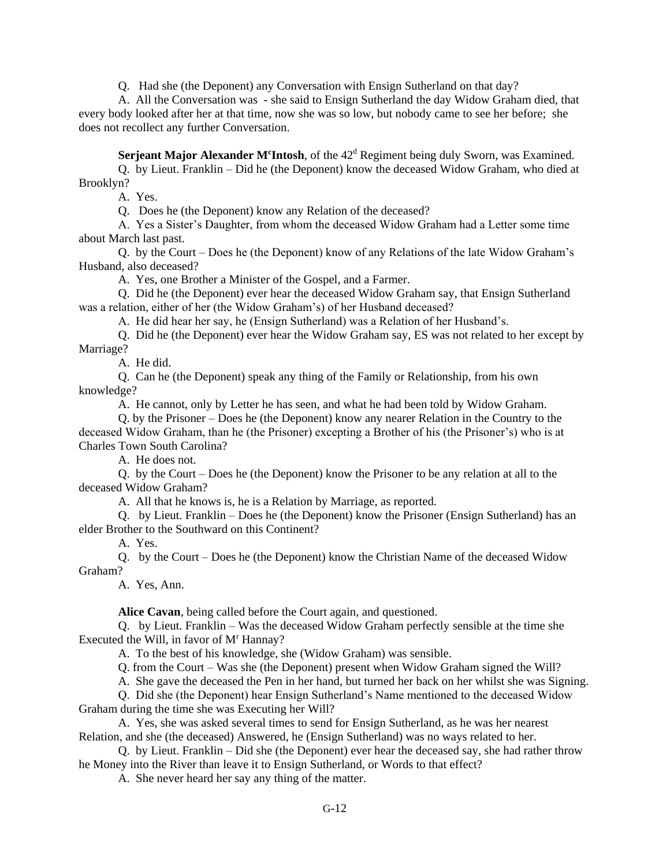Q. Had she (the Deponent) any Conversation with Ensign Sutherland on that day?

A. All the Conversation was - she said to Ensign Sutherland the day Widow Graham died, that every body looked after her at that time, now she was so low, but nobody came to see her before; she does not recollect any further Conversation.

**Serjeant Major Alexander M<sup>c</sup>Intosh**, of the 42<sup>d</sup> Regiment being duly Sworn, was Examined.

Q. by Lieut. Franklin – Did he (the Deponent) know the deceased Widow Graham, who died at Brooklyn?

A. Yes.

Q. Does he (the Deponent) know any Relation of the deceased?

A. Yes a Sister's Daughter, from whom the deceased Widow Graham had a Letter some time about March last past.

Q. by the Court – Does he (the Deponent) know of any Relations of the late Widow Graham's Husband, also deceased?

A. Yes, one Brother a Minister of the Gospel, and a Farmer.

Q. Did he (the Deponent) ever hear the deceased Widow Graham say, that Ensign Sutherland was a relation, either of her (the Widow Graham's) of her Husband deceased?

A. He did hear her say, he (Ensign Sutherland) was a Relation of her Husband's.

Q. Did he (the Deponent) ever hear the Widow Graham say, ES was not related to her except by Marriage?

A. He did.

Q. Can he (the Deponent) speak any thing of the Family or Relationship, from his own knowledge?

A. He cannot, only by Letter he has seen, and what he had been told by Widow Graham.

Q. by the Prisoner – Does he (the Deponent) know any nearer Relation in the Country to the deceased Widow Graham, than he (the Prisoner) excepting a Brother of his (the Prisoner's) who is at Charles Town South Carolina?

A. He does not.

Q. by the Court – Does he (the Deponent) know the Prisoner to be any relation at all to the deceased Widow Graham?

A. All that he knows is, he is a Relation by Marriage, as reported.

Q. by Lieut. Franklin – Does he (the Deponent) know the Prisoner (Ensign Sutherland) has an elder Brother to the Southward on this Continent?

A. Yes.

Q. by the Court – Does he (the Deponent) know the Christian Name of the deceased Widow Graham?

A. Yes, Ann.

**Alice Cavan**, being called before the Court again, and questioned.

Q. by Lieut. Franklin – Was the deceased Widow Graham perfectly sensible at the time she Executed the Will, in favor of  $M<sup>r</sup>$  Hannay?

A. To the best of his knowledge, she (Widow Graham) was sensible.

Q. from the Court – Was she (the Deponent) present when Widow Graham signed the Will?

A. She gave the deceased the Pen in her hand, but turned her back on her whilst she was Signing.

Q. Did she (the Deponent) hear Ensign Sutherland's Name mentioned to the deceased Widow Graham during the time she was Executing her Will?

A. Yes, she was asked several times to send for Ensign Sutherland, as he was her nearest Relation, and she (the deceased) Answered, he (Ensign Sutherland) was no ways related to her.

Q. by Lieut. Franklin – Did she (the Deponent) ever hear the deceased say, she had rather throw he Money into the River than leave it to Ensign Sutherland, or Words to that effect?

A. She never heard her say any thing of the matter.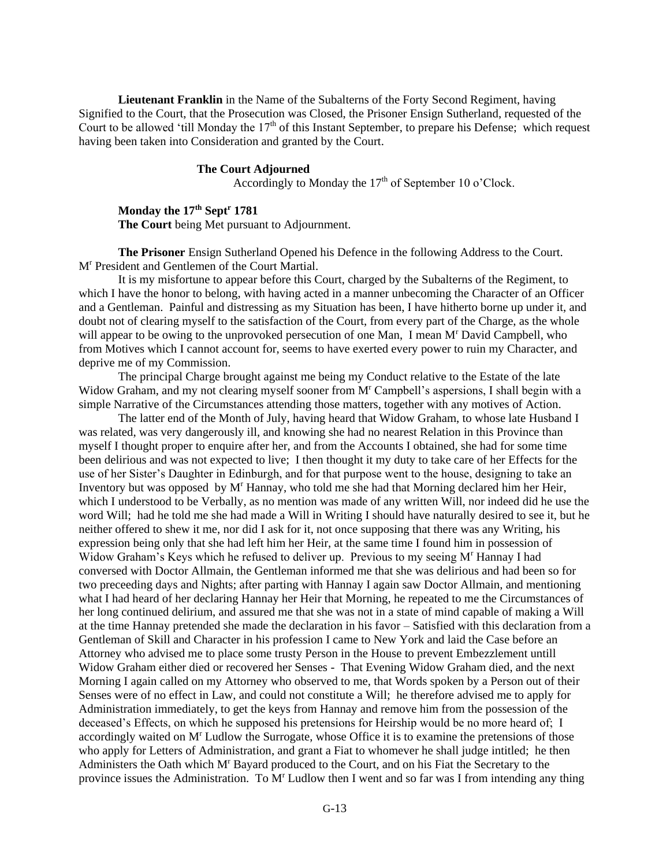**Lieutenant Franklin** in the Name of the Subalterns of the Forty Second Regiment, having Signified to the Court, that the Prosecution was Closed, the Prisoner Ensign Sutherland, requested of the Court to be allowed 'till Monday the  $17<sup>th</sup>$  of this Instant September, to prepare his Defense; which request having been taken into Consideration and granted by the Court.

#### **The Court Adjourned**

Accordingly to Monday the  $17<sup>th</sup>$  of September 10 o'Clock.

### **Monday the 17th Sept<sup>r</sup> 1781 The Court** being Met pursuant to Adjournment.

**The Prisoner** Ensign Sutherland Opened his Defence in the following Address to the Court. M<sup>r</sup> President and Gentlemen of the Court Martial.

It is my misfortune to appear before this Court, charged by the Subalterns of the Regiment, to which I have the honor to belong, with having acted in a manner unbecoming the Character of an Officer and a Gentleman. Painful and distressing as my Situation has been, I have hitherto borne up under it, and doubt not of clearing myself to the satisfaction of the Court, from every part of the Charge, as the whole will appear to be owing to the unprovoked persecution of one Man, I mean M<sup>T</sup> David Campbell, who from Motives which I cannot account for, seems to have exerted every power to ruin my Character, and deprive me of my Commission.

The principal Charge brought against me being my Conduct relative to the Estate of the late Widow Graham, and my not clearing myself sooner from M<sup>r</sup> Campbell's aspersions, I shall begin with a simple Narrative of the Circumstances attending those matters, together with any motives of Action.

The latter end of the Month of July, having heard that Widow Graham, to whose late Husband I was related, was very dangerously ill, and knowing she had no nearest Relation in this Province than myself I thought proper to enquire after her, and from the Accounts I obtained, she had for some time been delirious and was not expected to live; I then thought it my duty to take care of her Effects for the use of her Sister's Daughter in Edinburgh, and for that purpose went to the house, designing to take an Inventory but was opposed by M<sup>r</sup> Hannay, who told me she had that Morning declared him her Heir, which I understood to be Verbally, as no mention was made of any written Will, nor indeed did he use the word Will; had he told me she had made a Will in Writing I should have naturally desired to see it, but he neither offered to shew it me, nor did I ask for it, not once supposing that there was any Writing, his expression being only that she had left him her Heir, at the same time I found him in possession of Widow Graham's Keys which he refused to deliver up. Previous to my seeing M<sup>r</sup> Hannay I had conversed with Doctor Allmain, the Gentleman informed me that she was delirious and had been so for two preceeding days and Nights; after parting with Hannay I again saw Doctor Allmain, and mentioning what I had heard of her declaring Hannay her Heir that Morning, he repeated to me the Circumstances of her long continued delirium, and assured me that she was not in a state of mind capable of making a Will at the time Hannay pretended she made the declaration in his favor – Satisfied with this declaration from a Gentleman of Skill and Character in his profession I came to New York and laid the Case before an Attorney who advised me to place some trusty Person in the House to prevent Embezzlement untill Widow Graham either died or recovered her Senses - That Evening Widow Graham died, and the next Morning I again called on my Attorney who observed to me, that Words spoken by a Person out of their Senses were of no effect in Law, and could not constitute a Will; he therefore advised me to apply for Administration immediately, to get the keys from Hannay and remove him from the possession of the deceased's Effects, on which he supposed his pretensions for Heirship would be no more heard of; I accordingly waited on M<sup>r</sup> Ludlow the Surrogate, whose Office it is to examine the pretensions of those who apply for Letters of Administration, and grant a Fiat to whomever he shall judge intitled; he then Administers the Oath which M<sup>r</sup> Bayard produced to the Court, and on his Fiat the Secretary to the province issues the Administration. To M<sup>r</sup> Ludlow then I went and so far was I from intending any thing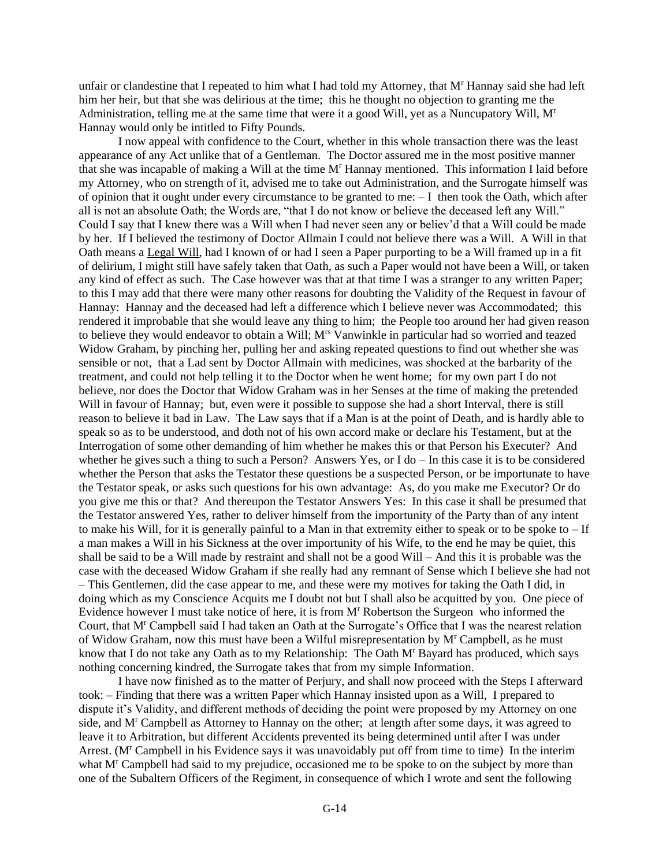unfair or clandestine that I repeated to him what I had told my Attorney, that M<sup>r</sup> Hannay said she had left him her heir, but that she was delirious at the time; this he thought no objection to granting me the Administration, telling me at the same time that were it a good Will, yet as a Nuncupatory Will, M<sup>r</sup> Hannay would only be intitled to Fifty Pounds.

I now appeal with confidence to the Court, whether in this whole transaction there was the least appearance of any Act unlike that of a Gentleman. The Doctor assured me in the most positive manner that she was incapable of making a Will at the time M<sup>r</sup> Hannay mentioned. This information I laid before my Attorney, who on strength of it, advised me to take out Administration, and the Surrogate himself was of opinion that it ought under every circumstance to be granted to me:  $-I$  then took the Oath, which after all is not an absolute Oath; the Words are, "that I do not know or believe the deceased left any Will." Could I say that I knew there was a Will when I had never seen any or believ'd that a Will could be made by her. If I believed the testimony of Doctor Allmain I could not believe there was a Will. A Will in that Oath means a Legal Will, had I known of or had I seen a Paper purporting to be a Will framed up in a fit of delirium, I might still have safely taken that Oath, as such a Paper would not have been a Will, or taken any kind of effect as such. The Case however was that at that time I was a stranger to any written Paper; to this I may add that there were many other reasons for doubting the Validity of the Request in favour of Hannay: Hannay and the deceased had left a difference which I believe never was Accommodated; this rendered it improbable that she would leave any thing to him; the People too around her had given reason to believe they would endeavor to obtain a Will; M<sup>rs</sup> Vanwinkle in particular had so worried and teazed Widow Graham, by pinching her, pulling her and asking repeated questions to find out whether she was sensible or not, that a Lad sent by Doctor Allmain with medicines, was shocked at the barbarity of the treatment, and could not help telling it to the Doctor when he went home; for my own part I do not believe, nor does the Doctor that Widow Graham was in her Senses at the time of making the pretended Will in favour of Hannay; but, even were it possible to suppose she had a short Interval, there is still reason to believe it bad in Law. The Law says that if a Man is at the point of Death, and is hardly able to speak so as to be understood, and doth not of his own accord make or declare his Testament, but at the Interrogation of some other demanding of him whether he makes this or that Person his Executer? And whether he gives such a thing to such a Person? Answers Yes, or I do – In this case it is to be considered whether the Person that asks the Testator these questions be a suspected Person, or be importunate to have the Testator speak, or asks such questions for his own advantage: As, do you make me Executor? Or do you give me this or that? And thereupon the Testator Answers Yes: In this case it shall be presumed that the Testator answered Yes, rather to deliver himself from the importunity of the Party than of any intent to make his Will, for it is generally painful to a Man in that extremity either to speak or to be spoke to  $-If$ a man makes a Will in his Sickness at the over importunity of his Wife, to the end he may be quiet, this shall be said to be a Will made by restraint and shall not be a good Will – And this it is probable was the case with the deceased Widow Graham if she really had any remnant of Sense which I believe she had not – This Gentlemen, did the case appear to me, and these were my motives for taking the Oath I did, in doing which as my Conscience Acquits me I doubt not but I shall also be acquitted by you. One piece of Evidence however I must take notice of here, it is from M<sup>r</sup> Robertson the Surgeon who informed the Court, that M<sup>r</sup> Campbell said I had taken an Oath at the Surrogate's Office that I was the nearest relation of Widow Graham, now this must have been a Wilful misrepresentation by M<sup>r</sup> Campbell, as he must know that I do not take any Oath as to my Relationship: The Oath M<sup>r</sup> Bayard has produced, which says nothing concerning kindred, the Surrogate takes that from my simple Information.

I have now finished as to the matter of Perjury, and shall now proceed with the Steps I afterward took: – Finding that there was a written Paper which Hannay insisted upon as a Will, I prepared to dispute it's Validity, and different methods of deciding the point were proposed by my Attorney on one side, and M<sup>r</sup> Campbell as Attorney to Hannay on the other; at length after some days, it was agreed to leave it to Arbitration, but different Accidents prevented its being determined until after I was under Arrest. (M<sup>r</sup> Campbell in his Evidence says it was unavoidably put off from time to time) In the interim what M<sup>r</sup> Campbell had said to my prejudice, occasioned me to be spoke to on the subject by more than one of the Subaltern Officers of the Regiment, in consequence of which I wrote and sent the following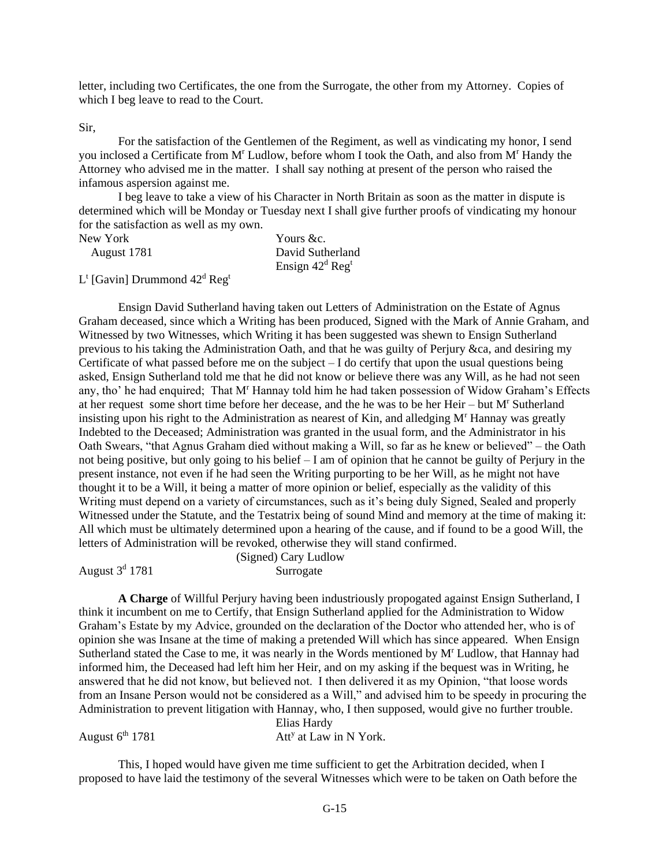letter, including two Certificates, the one from the Surrogate, the other from my Attorney. Copies of which I beg leave to read to the Court.

#### Sir,

For the satisfaction of the Gentlemen of the Regiment, as well as vindicating my honor, I send you inclosed a Certificate from M<sup>r</sup> Ludlow, before whom I took the Oath, and also from M<sup>r</sup> Handy the Attorney who advised me in the matter. I shall say nothing at present of the person who raised the infamous aspersion against me.

I beg leave to take a view of his Character in North Britain as soon as the matter in dispute is determined which will be Monday or Tuesday next I shall give further proofs of vindicating my honour for the satisfaction as well as my own.

| New York    | Yours &c.                      |
|-------------|--------------------------------|
| August 1781 | David Sutherland               |
|             | Ensign $42^d$ Reg <sup>t</sup> |

 $L<sup>t</sup>$  [Gavin] Drummond  $42<sup>d</sup>$  Reg<sup>t</sup>

Ensign David Sutherland having taken out Letters of Administration on the Estate of Agnus Graham deceased, since which a Writing has been produced, Signed with the Mark of Annie Graham, and Witnessed by two Witnesses, which Writing it has been suggested was shewn to Ensign Sutherland previous to his taking the Administration Oath, and that he was guilty of Perjury &ca, and desiring my Certificate of what passed before me on the subject  $-I$  do certify that upon the usual questions being asked, Ensign Sutherland told me that he did not know or believe there was any Will, as he had not seen any, tho' he had enquired; That M<sup>r</sup> Hannay told him he had taken possession of Widow Graham's Effects at her request some short time before her decease, and the he was to be her Heir – but M<sup>r</sup> Sutherland insisting upon his right to the Administration as nearest of Kin, and alledging M<sup>r</sup> Hannay was greatly Indebted to the Deceased; Administration was granted in the usual form, and the Administrator in his Oath Swears, "that Agnus Graham died without making a Will, so far as he knew or believed" – the Oath not being positive, but only going to his belief – I am of opinion that he cannot be guilty of Perjury in the present instance, not even if he had seen the Writing purporting to be her Will, as he might not have thought it to be a Will, it being a matter of more opinion or belief, especially as the validity of this Writing must depend on a variety of circumstances, such as it's being duly Signed, Sealed and properly Witnessed under the Statute, and the Testatrix being of sound Mind and memory at the time of making it: All which must be ultimately determined upon a hearing of the cause, and if found to be a good Will, the letters of Administration will be revoked, otherwise they will stand confirmed.

August  $3<sup>d</sup>$  1781

(Signed) Cary Ludlow Surrogate

**A Charge** of Willful Perjury having been industriously propogated against Ensign Sutherland, I think it incumbent on me to Certify, that Ensign Sutherland applied for the Administration to Widow Graham's Estate by my Advice, grounded on the declaration of the Doctor who attended her, who is of opinion she was Insane at the time of making a pretended Will which has since appeared. When Ensign Sutherland stated the Case to me, it was nearly in the Words mentioned by M<sup>r</sup> Ludlow, that Hannay had informed him, the Deceased had left him her Heir, and on my asking if the bequest was in Writing, he answered that he did not know, but believed not. I then delivered it as my Opinion, "that loose words from an Insane Person would not be considered as a Will," and advised him to be speedy in procuring the Administration to prevent litigation with Hannay, who, I then supposed, would give no further trouble.

August  $6<sup>th</sup>$  1781

Elias Hardy Att<sup>y</sup> at Law in N York.

This, I hoped would have given me time sufficient to get the Arbitration decided, when I proposed to have laid the testimony of the several Witnesses which were to be taken on Oath before the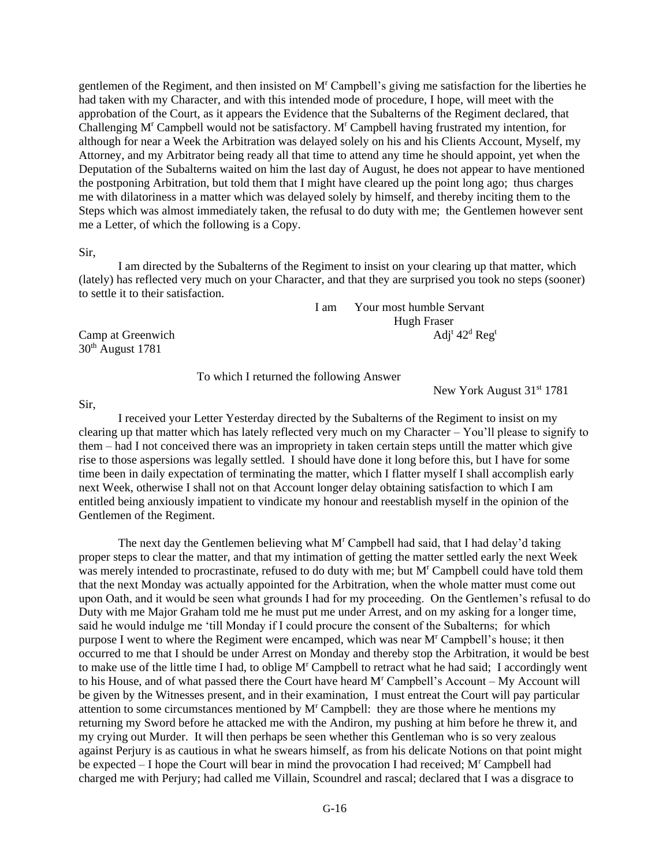gentlemen of the Regiment, and then insisted on M<sup>r</sup> Campbell's giving me satisfaction for the liberties he had taken with my Character, and with this intended mode of procedure, I hope, will meet with the approbation of the Court, as it appears the Evidence that the Subalterns of the Regiment declared, that Challenging M<sup>r</sup> Campbell would not be satisfactory. M<sup>r</sup> Campbell having frustrated my intention, for although for near a Week the Arbitration was delayed solely on his and his Clients Account, Myself, my Attorney, and my Arbitrator being ready all that time to attend any time he should appoint, yet when the Deputation of the Subalterns waited on him the last day of August, he does not appear to have mentioned the postponing Arbitration, but told them that I might have cleared up the point long ago; thus charges me with dilatoriness in a matter which was delayed solely by himself, and thereby inciting them to the Steps which was almost immediately taken, the refusal to do duty with me; the Gentlemen however sent me a Letter, of which the following is a Copy.

#### Sir,

I am directed by the Subalterns of the Regiment to insist on your clearing up that matter, which (lately) has reflected very much on your Character, and that they are surprised you took no steps (sooner) to settle it to their satisfaction.

I am Your most humble Servant Hugh Fraser Adi<sup>t</sup> 42<sup>d</sup> Reg<sup>t</sup>

Camp at Greenwich  $30<sup>th</sup>$  August 1781

To which I returned the following Answer

New York August 31<sup>st</sup> 1781

#### Sir,

I received your Letter Yesterday directed by the Subalterns of the Regiment to insist on my clearing up that matter which has lately reflected very much on my Character – You'll please to signify to them – had I not conceived there was an impropriety in taken certain steps untill the matter which give rise to those aspersions was legally settled. I should have done it long before this, but I have for some time been in daily expectation of terminating the matter, which I flatter myself I shall accomplish early next Week, otherwise I shall not on that Account longer delay obtaining satisfaction to which I am entitled being anxiously impatient to vindicate my honour and reestablish myself in the opinion of the Gentlemen of the Regiment.

The next day the Gentlemen believing what M<sup>r</sup> Campbell had said, that I had delay'd taking proper steps to clear the matter, and that my intimation of getting the matter settled early the next Week was merely intended to procrastinate, refused to do duty with me; but M<sup>r</sup> Campbell could have told them that the next Monday was actually appointed for the Arbitration, when the whole matter must come out upon Oath, and it would be seen what grounds I had for my proceeding. On the Gentlemen's refusal to do Duty with me Major Graham told me he must put me under Arrest, and on my asking for a longer time, said he would indulge me 'till Monday if I could procure the consent of the Subalterns; for which purpose I went to where the Regiment were encamped, which was near M<sup>r</sup> Campbell's house; it then occurred to me that I should be under Arrest on Monday and thereby stop the Arbitration, it would be best to make use of the little time I had, to oblige M<sup>r</sup> Campbell to retract what he had said; I accordingly went to his House, and of what passed there the Court have heard M<sup>r</sup> Campbell's Account – My Account will be given by the Witnesses present, and in their examination, I must entreat the Court will pay particular attention to some circumstances mentioned by  $M<sup>r</sup>$  Campbell: they are those where he mentions my returning my Sword before he attacked me with the Andiron, my pushing at him before he threw it, and my crying out Murder. It will then perhaps be seen whether this Gentleman who is so very zealous against Perjury is as cautious in what he swears himself, as from his delicate Notions on that point might be expected – I hope the Court will bear in mind the provocation I had received; M<sup>r</sup> Campbell had charged me with Perjury; had called me Villain, Scoundrel and rascal; declared that I was a disgrace to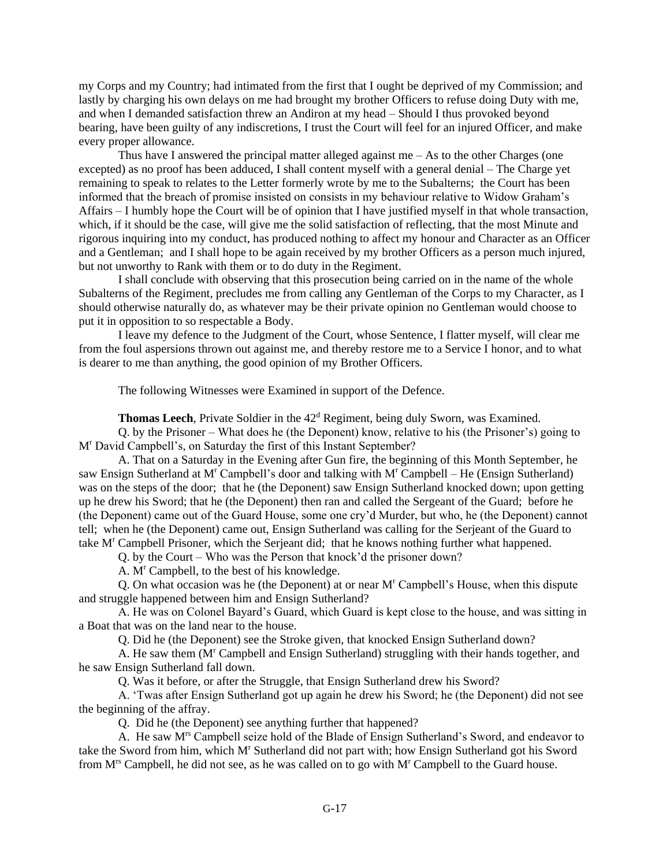my Corps and my Country; had intimated from the first that I ought be deprived of my Commission; and lastly by charging his own delays on me had brought my brother Officers to refuse doing Duty with me, and when I demanded satisfaction threw an Andiron at my head – Should I thus provoked beyond bearing, have been guilty of any indiscretions, I trust the Court will feel for an injured Officer, and make every proper allowance.

Thus have I answered the principal matter alleged against me – As to the other Charges (one excepted) as no proof has been adduced, I shall content myself with a general denial – The Charge yet remaining to speak to relates to the Letter formerly wrote by me to the Subalterns; the Court has been informed that the breach of promise insisted on consists in my behaviour relative to Widow Graham's Affairs – I humbly hope the Court will be of opinion that I have justified myself in that whole transaction, which, if it should be the case, will give me the solid satisfaction of reflecting, that the most Minute and rigorous inquiring into my conduct, has produced nothing to affect my honour and Character as an Officer and a Gentleman; and I shall hope to be again received by my brother Officers as a person much injured, but not unworthy to Rank with them or to do duty in the Regiment.

I shall conclude with observing that this prosecution being carried on in the name of the whole Subalterns of the Regiment, precludes me from calling any Gentleman of the Corps to my Character, as I should otherwise naturally do, as whatever may be their private opinion no Gentleman would choose to put it in opposition to so respectable a Body.

I leave my defence to the Judgment of the Court, whose Sentence, I flatter myself, will clear me from the foul aspersions thrown out against me, and thereby restore me to a Service I honor, and to what is dearer to me than anything, the good opinion of my Brother Officers.

The following Witnesses were Examined in support of the Defence.

**Thomas Leech**, Private Soldier in the 42<sup>d</sup> Regiment, being duly Sworn, was Examined.

Q. by the Prisoner – What does he (the Deponent) know, relative to his (the Prisoner's) going to M<sup>r</sup> David Campbell's, on Saturday the first of this Instant September?

A. That on a Saturday in the Evening after Gun fire, the beginning of this Month September, he saw Ensign Sutherland at M<sup>r</sup> Campbell's door and talking with M<sup>r</sup> Campbell – He (Ensign Sutherland) was on the steps of the door; that he (the Deponent) saw Ensign Sutherland knocked down; upon getting up he drew his Sword; that he (the Deponent) then ran and called the Sergeant of the Guard; before he (the Deponent) came out of the Guard House, some one cry'd Murder, but who, he (the Deponent) cannot tell; when he (the Deponent) came out, Ensign Sutherland was calling for the Serjeant of the Guard to take M<sup>r</sup> Campbell Prisoner, which the Serjeant did; that he knows nothing further what happened.

Q. by the Court – Who was the Person that knock'd the prisoner down?

A. M<sup>r</sup> Campbell, to the best of his knowledge.

Q. On what occasion was he (the Deponent) at or near M<sup>r</sup> Campbell's House, when this dispute and struggle happened between him and Ensign Sutherland?

A. He was on Colonel Bayard's Guard, which Guard is kept close to the house, and was sitting in a Boat that was on the land near to the house.

Q. Did he (the Deponent) see the Stroke given, that knocked Ensign Sutherland down?

A. He saw them (M<sup>r</sup> Campbell and Ensign Sutherland) struggling with their hands together, and he saw Ensign Sutherland fall down.

Q. Was it before, or after the Struggle, that Ensign Sutherland drew his Sword?

A. 'Twas after Ensign Sutherland got up again he drew his Sword; he (the Deponent) did not see the beginning of the affray.

Q. Did he (the Deponent) see anything further that happened?

A. He saw M<sup>rs</sup> Campbell seize hold of the Blade of Ensign Sutherland's Sword, and endeavor to take the Sword from him, which M<sup>r</sup> Sutherland did not part with; how Ensign Sutherland got his Sword from Mrs Campbell, he did not see, as he was called on to go with M<sup>r</sup> Campbell to the Guard house.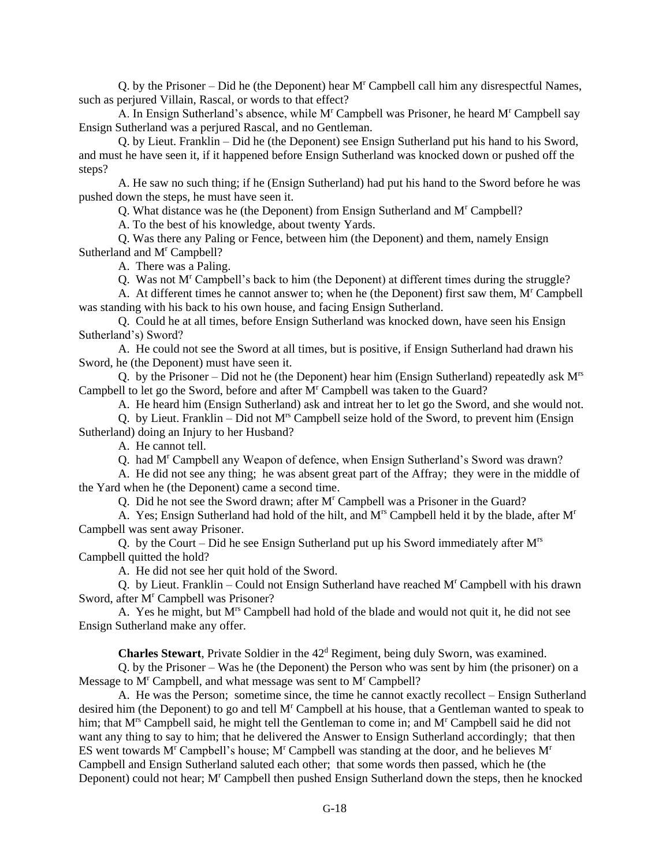Q. by the Prisoner – Did he (the Deponent) hear  $M<sup>r</sup>$  Campbell call him any disrespectful Names, such as perjured Villain, Rascal, or words to that effect?

A. In Ensign Sutherland's absence, while M<sup>r</sup> Campbell was Prisoner, he heard M<sup>r</sup> Campbell say Ensign Sutherland was a perjured Rascal, and no Gentleman.

Q. by Lieut. Franklin – Did he (the Deponent) see Ensign Sutherland put his hand to his Sword, and must he have seen it, if it happened before Ensign Sutherland was knocked down or pushed off the steps?

A. He saw no such thing; if he (Ensign Sutherland) had put his hand to the Sword before he was pushed down the steps, he must have seen it.

Q. What distance was he (the Deponent) from Ensign Sutherland and M<sup>r</sup> Campbell?

A. To the best of his knowledge, about twenty Yards.

Q. Was there any Paling or Fence, between him (the Deponent) and them, namely Ensign Sutherland and M<sup>r</sup> Campbell?

A. There was a Paling.

Q. Was not M<sup>r</sup> Campbell's back to him (the Deponent) at different times during the struggle?

A. At different times he cannot answer to; when he (the Deponent) first saw them, M<sup>r</sup> Campbell was standing with his back to his own house, and facing Ensign Sutherland.

Q. Could he at all times, before Ensign Sutherland was knocked down, have seen his Ensign Sutherland's) Sword?

A. He could not see the Sword at all times, but is positive, if Ensign Sutherland had drawn his Sword, he (the Deponent) must have seen it.

Q. by the Prisoner – Did not he (the Deponent) hear him (Ensign Sutherland) repeatedly ask  $M^{rs}$ Campbell to let go the Sword, before and after M<sup>r</sup> Campbell was taken to the Guard?

A. He heard him (Ensign Sutherland) ask and intreat her to let go the Sword, and she would not.

Q. by Lieut. Franklin – Did not  $M<sup>rs</sup>$  Campbell seize hold of the Sword, to prevent him (Ensign Sutherland) doing an Injury to her Husband?

A. He cannot tell.

Q. had M<sup>r</sup> Campbell any Weapon of defence, when Ensign Sutherland's Sword was drawn?

A. He did not see any thing; he was absent great part of the Affray; they were in the middle of the Yard when he (the Deponent) came a second time.

Q. Did he not see the Sword drawn; after M<sup>r</sup> Campbell was a Prisoner in the Guard?

A. Yes; Ensign Sutherland had hold of the hilt, and  $M<sup>rs</sup>$  Campbell held it by the blade, after  $M<sup>r</sup>$ Campbell was sent away Prisoner.

Q. by the Court – Did he see Ensign Sutherland put up his Sword immediately after  $M^{rs}$ Campbell quitted the hold?

A. He did not see her quit hold of the Sword.

Q. by Lieut. Franklin – Could not Ensign Sutherland have reached M<sup>r</sup> Campbell with his drawn Sword, after M<sup>r</sup> Campbell was Prisoner?

A. Yes he might, but M<sup>rs</sup> Campbell had hold of the blade and would not quit it, he did not see Ensign Sutherland make any offer.

**Charles Stewart**, Private Soldier in the 42<sup>d</sup> Regiment, being duly Sworn, was examined.

Q. by the Prisoner – Was he (the Deponent) the Person who was sent by him (the prisoner) on a Message to M<sup>r</sup> Campbell, and what message was sent to M<sup>r</sup> Campbell?

A. He was the Person; sometime since, the time he cannot exactly recollect – Ensign Sutherland desired him (the Deponent) to go and tell M<sup>r</sup> Campbell at his house, that a Gentleman wanted to speak to him; that M<sup>rs</sup> Campbell said, he might tell the Gentleman to come in; and M<sup>r</sup> Campbell said he did not want any thing to say to him; that he delivered the Answer to Ensign Sutherland accordingly; that then ES went towards M<sup>r</sup> Campbell's house; M<sup>r</sup> Campbell was standing at the door, and he believes  $M<sup>r</sup>$ Campbell and Ensign Sutherland saluted each other; that some words then passed, which he (the Deponent) could not hear; M<sup>r</sup> Campbell then pushed Ensign Sutherland down the steps, then he knocked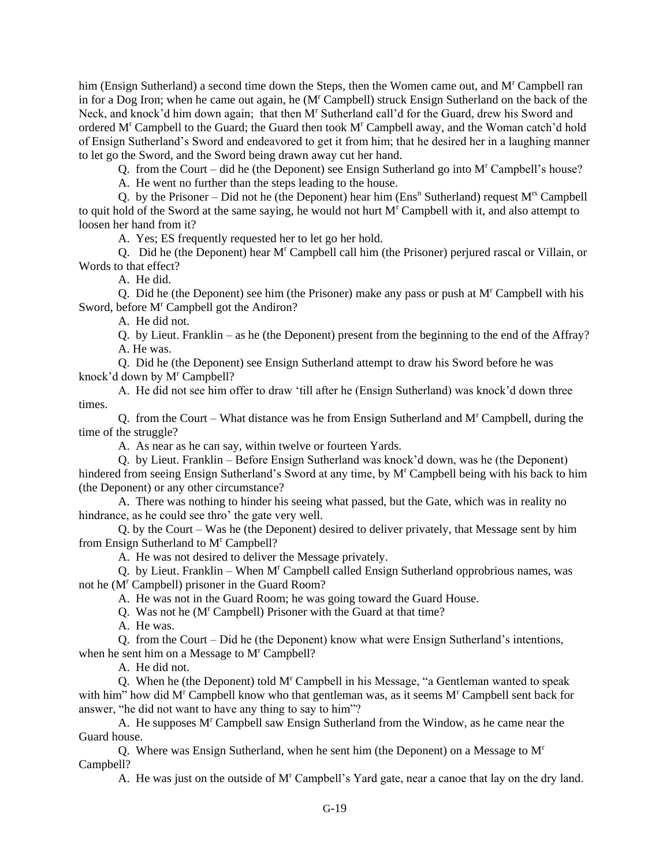him (Ensign Sutherland) a second time down the Steps, then the Women came out, and M<sup>r</sup> Campbell ran in for a Dog Iron; when he came out again, he (M<sup>r</sup> Campbell) struck Ensign Sutherland on the back of the Neck, and knock'd him down again; that then M<sup>r</sup> Sutherland call'd for the Guard, drew his Sword and ordered M<sup>r</sup> Campbell to the Guard; the Guard then took M<sup>r</sup> Campbell away, and the Woman catch'd hold of Ensign Sutherland's Sword and endeavored to get it from him; that he desired her in a laughing manner to let go the Sword, and the Sword being drawn away cut her hand.

Q. from the Court – did he (the Deponent) see Ensign Sutherland go into M<sup>r</sup> Campbell's house?

A. He went no further than the steps leading to the house.

Q. by the Prisoner – Did not he (the Deponent) hear him ( $Ens<sup>n</sup> Sutherland$ ) request  $M<sup>rs</sup> Campbell$ to quit hold of the Sword at the same saying, he would not hurt M<sup>r</sup> Campbell with it, and also attempt to loosen her hand from it?

A. Yes; ES frequently requested her to let go her hold.

Q. Did he (the Deponent) hear M<sup>r</sup> Campbell call him (the Prisoner) perjured rascal or Villain, or Words to that effect?

A. He did.

Q. Did he (the Deponent) see him (the Prisoner) make any pass or push at  $M<sup>r</sup>$  Campbell with his Sword, before M<sup>r</sup> Campbell got the Andiron?

A. He did not.

Q. by Lieut. Franklin – as he (the Deponent) present from the beginning to the end of the Affray? A. He was.

Q. Did he (the Deponent) see Ensign Sutherland attempt to draw his Sword before he was knock'd down by M<sup>r</sup> Campbell?

A. He did not see him offer to draw 'till after he (Ensign Sutherland) was knock'd down three times.

Q. from the Court – What distance was he from Ensign Sutherland and  $M<sup>r</sup>$  Campbell, during the time of the struggle?

A. As near as he can say, within twelve or fourteen Yards.

Q. by Lieut. Franklin – Before Ensign Sutherland was knock'd down, was he (the Deponent) hindered from seeing Ensign Sutherland's Sword at any time, by M<sup>T</sup> Campbell being with his back to him (the Deponent) or any other circumstance?

A. There was nothing to hinder his seeing what passed, but the Gate, which was in reality no hindrance, as he could see thro' the gate very well.

Q. by the Court – Was he (the Deponent) desired to deliver privately, that Message sent by him from Ensign Sutherland to M<sup>r</sup> Campbell?

A. He was not desired to deliver the Message privately.

Q. by Lieut. Franklin – When  $M<sup>r</sup>$  Campbell called Ensign Sutherland opprobrious names, was not he (M<sup>r</sup> Campbell) prisoner in the Guard Room?

A. He was not in the Guard Room; he was going toward the Guard House.

Q. Was not he (M<sup>r</sup> Campbell) Prisoner with the Guard at that time?

A. He was.

Q. from the Court – Did he (the Deponent) know what were Ensign Sutherland's intentions, when he sent him on a Message to M<sup>r</sup> Campbell?

A. He did not.

Q. When he (the Deponent) told  $M<sup>r</sup>$  Campbell in his Message, "a Gentleman wanted to speak with him" how did M<sup>r</sup> Campbell know who that gentleman was, as it seems M<sup>r</sup> Campbell sent back for answer, "he did not want to have any thing to say to him"?

A. He supposes M<sup>r</sup> Campbell saw Ensign Sutherland from the Window, as he came near the Guard house.

Q. Where was Ensign Sutherland, when he sent him (the Deponent) on a Message to  $M<sup>r</sup>$ Campbell?

A. He was just on the outside of M<sup>r</sup> Campbell's Yard gate, near a canoe that lay on the dry land.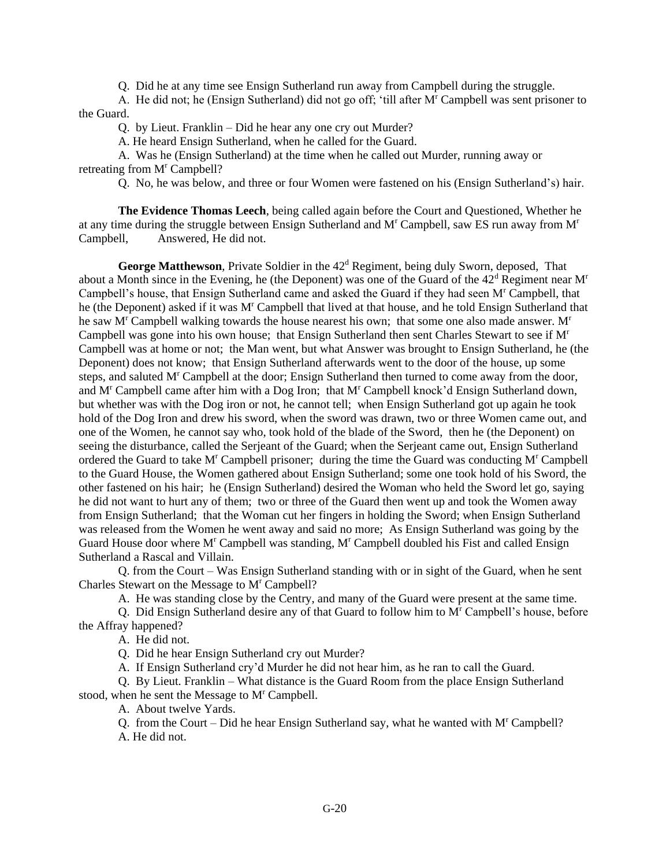Q. Did he at any time see Ensign Sutherland run away from Campbell during the struggle.

A. He did not; he (Ensign Sutherland) did not go off; 'till after M<sup>r</sup> Campbell was sent prisoner to the Guard.

Q. by Lieut. Franklin – Did he hear any one cry out Murder?

A. He heard Ensign Sutherland, when he called for the Guard.

A. Was he (Ensign Sutherland) at the time when he called out Murder, running away or retreating from M<sup>r</sup> Campbell?

Q. No, he was below, and three or four Women were fastened on his (Ensign Sutherland's) hair.

**The Evidence Thomas Leech**, being called again before the Court and Questioned, Whether he at any time during the struggle between Ensign Sutherland and M<sup>r</sup> Campbell, saw ES run away from M<sup>r</sup> Campbell, Answered, He did not.

**George Matthewson, Private Soldier in the 42<sup>d</sup> Regiment, being duly Sworn, deposed, That** about a Month since in the Evening, he (the Deponent) was one of the Guard of the  $42<sup>d</sup>$  Regiment near M<sup>r</sup> Campbell's house, that Ensign Sutherland came and asked the Guard if they had seen M<sup>r</sup> Campbell, that he (the Deponent) asked if it was M<sup>r</sup> Campbell that lived at that house, and he told Ensign Sutherland that he saw  $M<sup>r</sup>$  Campbell walking towards the house nearest his own; that some one also made answer.  $M<sup>r</sup>$ Campbell was gone into his own house; that Ensign Sutherland then sent Charles Stewart to see if M<sup>r</sup> Campbell was at home or not; the Man went, but what Answer was brought to Ensign Sutherland, he (the Deponent) does not know; that Ensign Sutherland afterwards went to the door of the house, up some steps, and saluted M<sup>r</sup> Campbell at the door; Ensign Sutherland then turned to come away from the door, and M<sup>r</sup> Campbell came after him with a Dog Iron; that M<sup>r</sup> Campbell knock'd Ensign Sutherland down, but whether was with the Dog iron or not, he cannot tell; when Ensign Sutherland got up again he took hold of the Dog Iron and drew his sword, when the sword was drawn, two or three Women came out, and one of the Women, he cannot say who, took hold of the blade of the Sword, then he (the Deponent) on seeing the disturbance, called the Serjeant of the Guard; when the Serjeant came out, Ensign Sutherland ordered the Guard to take M<sup>r</sup> Campbell prisoner; during the time the Guard was conducting M<sup>r</sup> Campbell to the Guard House, the Women gathered about Ensign Sutherland; some one took hold of his Sword, the other fastened on his hair; he (Ensign Sutherland) desired the Woman who held the Sword let go, saying he did not want to hurt any of them; two or three of the Guard then went up and took the Women away from Ensign Sutherland; that the Woman cut her fingers in holding the Sword; when Ensign Sutherland was released from the Women he went away and said no more; As Ensign Sutherland was going by the Guard House door where M<sup>r</sup> Campbell was standing, M<sup>r</sup> Campbell doubled his Fist and called Ensign Sutherland a Rascal and Villain.

Q. from the Court – Was Ensign Sutherland standing with or in sight of the Guard, when he sent Charles Stewart on the Message to M<sup>r</sup> Campbell?

A. He was standing close by the Centry, and many of the Guard were present at the same time.

Q. Did Ensign Sutherland desire any of that Guard to follow him to M<sup>r</sup> Campbell's house, before the Affray happened?

A. He did not.

Q. Did he hear Ensign Sutherland cry out Murder?

A. If Ensign Sutherland cry'd Murder he did not hear him, as he ran to call the Guard.

Q. By Lieut. Franklin – What distance is the Guard Room from the place Ensign Sutherland stood, when he sent the Message to M<sup>r</sup> Campbell.

A. About twelve Yards.

Q. from the Court – Did he hear Ensign Sutherland say, what he wanted with  $M<sup>r</sup>$  Campbell? A. He did not.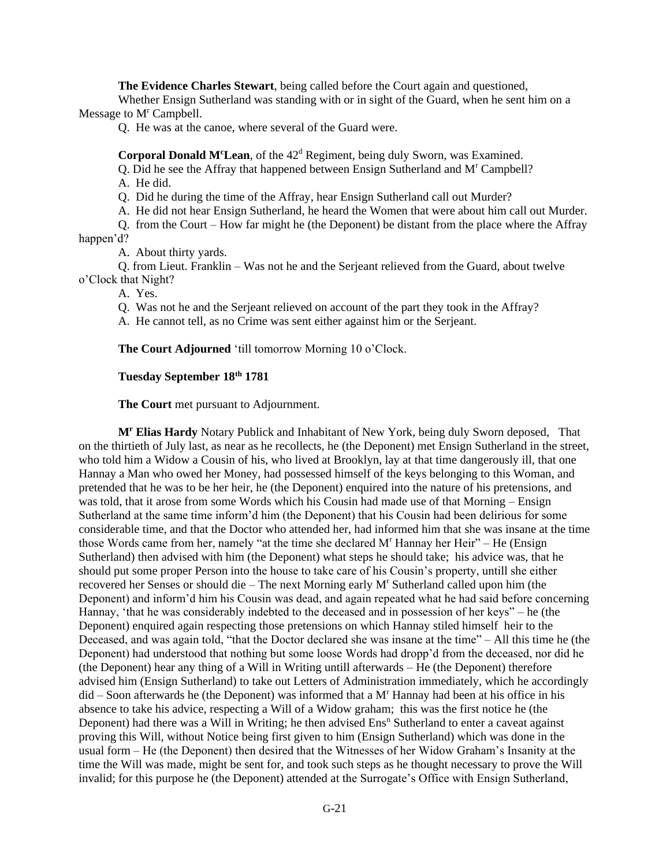**The Evidence Charles Stewart**, being called before the Court again and questioned,

Whether Ensign Sutherland was standing with or in sight of the Guard, when he sent him on a Message to M<sup>r</sup> Campbell.

Q. He was at the canoe, where several of the Guard were.

**Corporal Donald M<sup>c</sup>Lean**, of the 42<sup>d</sup> Regiment, being duly Sworn, was Examined.

Q. Did he see the Affray that happened between Ensign Sutherland and M<sup>r</sup> Campbell?

A. He did.

Q. Did he during the time of the Affray, hear Ensign Sutherland call out Murder?

A. He did not hear Ensign Sutherland, he heard the Women that were about him call out Murder.

Q. from the Court – How far might he (the Deponent) be distant from the place where the Affray happen'd?

A. About thirty yards.

Q. from Lieut. Franklin – Was not he and the Serjeant relieved from the Guard, about twelve o'Clock that Night?

A. Yes.

Q. Was not he and the Serjeant relieved on account of the part they took in the Affray?

A. He cannot tell, as no Crime was sent either against him or the Serjeant.

**The Court Adjourned** 'till tomorrow Morning 10 o'Clock.

# **Tuesday September 18th 1781**

**The Court** met pursuant to Adjournment.

**M<sup>r</sup> Elias Hardy** Notary Publick and Inhabitant of New York, being duly Sworn deposed, That on the thirtieth of July last, as near as he recollects, he (the Deponent) met Ensign Sutherland in the street, who told him a Widow a Cousin of his, who lived at Brooklyn, lay at that time dangerously ill, that one Hannay a Man who owed her Money, had possessed himself of the keys belonging to this Woman, and pretended that he was to be her heir, he (the Deponent) enquired into the nature of his pretensions, and was told, that it arose from some Words which his Cousin had made use of that Morning – Ensign Sutherland at the same time inform'd him (the Deponent) that his Cousin had been delirious for some considerable time, and that the Doctor who attended her, had informed him that she was insane at the time those Words came from her, namely "at the time she declared M<sup>r</sup> Hannay her Heir" – He (Ensign Sutherland) then advised with him (the Deponent) what steps he should take; his advice was, that he should put some proper Person into the house to take care of his Cousin's property, untill she either recovered her Senses or should die – The next Morning early M<sup>r</sup> Sutherland called upon him (the Deponent) and inform'd him his Cousin was dead, and again repeated what he had said before concerning Hannay, 'that he was considerably indebted to the deceased and in possession of her keys" – he (the Deponent) enquired again respecting those pretensions on which Hannay stiled himself heir to the Deceased, and was again told, "that the Doctor declared she was insane at the time" – All this time he (the Deponent) had understood that nothing but some loose Words had dropp'd from the deceased, nor did he (the Deponent) hear any thing of a Will in Writing untill afterwards – He (the Deponent) therefore advised him (Ensign Sutherland) to take out Letters of Administration immediately, which he accordingly  $did - Soon$  afterwards he (the Deponent) was informed that a  $M<sup>r</sup>$  Hannay had been at his office in his absence to take his advice, respecting a Will of a Widow graham; this was the first notice he (the Deponent) had there was a Will in Writing; he then advised Ens<sup>n</sup> Sutherland to enter a caveat against proving this Will, without Notice being first given to him (Ensign Sutherland) which was done in the usual form – He (the Deponent) then desired that the Witnesses of her Widow Graham's Insanity at the time the Will was made, might be sent for, and took such steps as he thought necessary to prove the Will invalid; for this purpose he (the Deponent) attended at the Surrogate's Office with Ensign Sutherland,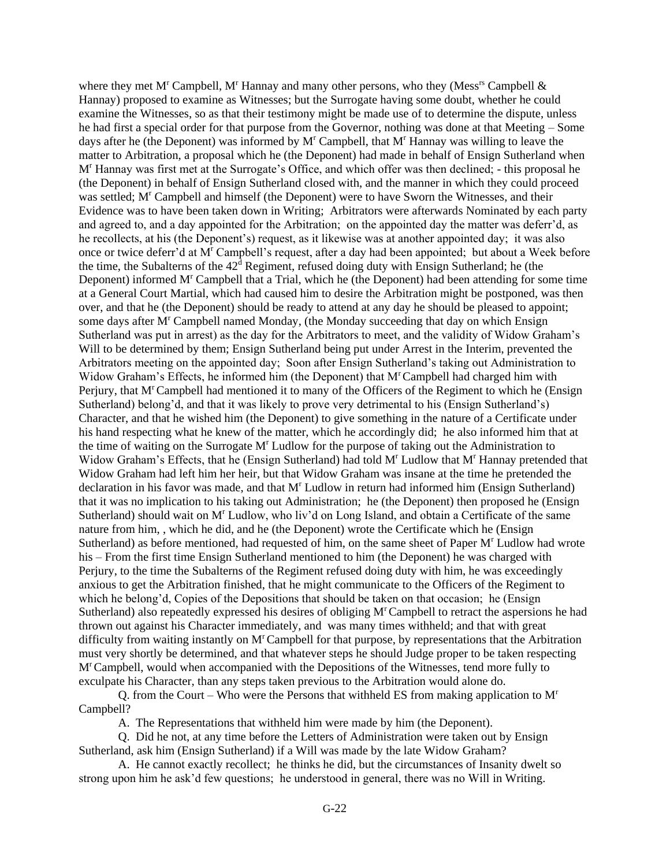where they met M<sup>r</sup> Campbell, M<sup>r</sup> Hannay and many other persons, who they (Mess<sup>rs</sup> Campbell  $\&$ Hannay) proposed to examine as Witnesses; but the Surrogate having some doubt, whether he could examine the Witnesses, so as that their testimony might be made use of to determine the dispute, unless he had first a special order for that purpose from the Governor, nothing was done at that Meeting – Some days after he (the Deponent) was informed by  $M<sup>r</sup>$  Campbell, that  $M<sup>r</sup>$  Hannay was willing to leave the matter to Arbitration, a proposal which he (the Deponent) had made in behalf of Ensign Sutherland when M<sup>r</sup> Hannay was first met at the Surrogate's Office, and which offer was then declined; - this proposal he (the Deponent) in behalf of Ensign Sutherland closed with, and the manner in which they could proceed was settled; M<sup>r</sup> Campbell and himself (the Deponent) were to have Sworn the Witnesses, and their Evidence was to have been taken down in Writing; Arbitrators were afterwards Nominated by each party and agreed to, and a day appointed for the Arbitration; on the appointed day the matter was deferr'd, as he recollects, at his (the Deponent's) request, as it likewise was at another appointed day; it was also once or twice deferr'd at M<sup>r</sup> Campbell's request, after a day had been appointed; but about a Week before the time, the Subalterns of the  $42<sup>3</sup>$  Regiment, refused doing duty with Ensign Sutherland; he (the Deponent) informed M<sup>r</sup> Campbell that a Trial, which he (the Deponent) had been attending for some time at a General Court Martial, which had caused him to desire the Arbitration might be postponed, was then over, and that he (the Deponent) should be ready to attend at any day he should be pleased to appoint; some days after M<sup>r</sup> Campbell named Monday, (the Monday succeeding that day on which Ensign Sutherland was put in arrest) as the day for the Arbitrators to meet, and the validity of Widow Graham's Will to be determined by them; Ensign Sutherland being put under Arrest in the Interim, prevented the Arbitrators meeting on the appointed day; Soon after Ensign Sutherland's taking out Administration to Widow Graham's Effects, he informed him (the Deponent) that M<sup>r</sup>Campbell had charged him with Perjury, that M<sup>r</sup> Campbell had mentioned it to many of the Officers of the Regiment to which he (Ensign Sutherland) belong'd, and that it was likely to prove very detrimental to his (Ensign Sutherland's) Character, and that he wished him (the Deponent) to give something in the nature of a Certificate under his hand respecting what he knew of the matter, which he accordingly did; he also informed him that at the time of waiting on the Surrogate M<sup>r</sup> Ludlow for the purpose of taking out the Administration to Widow Graham's Effects, that he (Ensign Sutherland) had told M<sup>r</sup> Ludlow that M<sup>r</sup> Hannay pretended that Widow Graham had left him her heir, but that Widow Graham was insane at the time he pretended the declaration in his favor was made, and that M<sup>r</sup> Ludlow in return had informed him (Ensign Sutherland) that it was no implication to his taking out Administration; he (the Deponent) then proposed he (Ensign Sutherland) should wait on M<sup>r</sup> Ludlow, who liv'd on Long Island, and obtain a Certificate of the same nature from him, , which he did, and he (the Deponent) wrote the Certificate which he (Ensign Sutherland) as before mentioned, had requested of him, on the same sheet of Paper M<sup>r</sup> Ludlow had wrote his – From the first time Ensign Sutherland mentioned to him (the Deponent) he was charged with Perjury, to the time the Subalterns of the Regiment refused doing duty with him, he was exceedingly anxious to get the Arbitration finished, that he might communicate to the Officers of the Regiment to which he belong'd, Copies of the Depositions that should be taken on that occasion; he (Ensign Sutherland) also repeatedly expressed his desires of obliging M<sup>r</sup>Campbell to retract the aspersions he had thrown out against his Character immediately, and was many times withheld; and that with great difficulty from waiting instantly on M<sup>r</sup>Campbell for that purpose, by representations that the Arbitration must very shortly be determined, and that whatever steps he should Judge proper to be taken respecting M<sup>r</sup>Campbell, would when accompanied with the Depositions of the Witnesses, tend more fully to exculpate his Character, than any steps taken previous to the Arbitration would alone do.

Q. from the Court – Who were the Persons that withheld ES from making application to  $M<sup>r</sup>$ Campbell?

A. The Representations that withheld him were made by him (the Deponent).

Q. Did he not, at any time before the Letters of Administration were taken out by Ensign Sutherland, ask him (Ensign Sutherland) if a Will was made by the late Widow Graham?

A. He cannot exactly recollect; he thinks he did, but the circumstances of Insanity dwelt so strong upon him he ask'd few questions; he understood in general, there was no Will in Writing.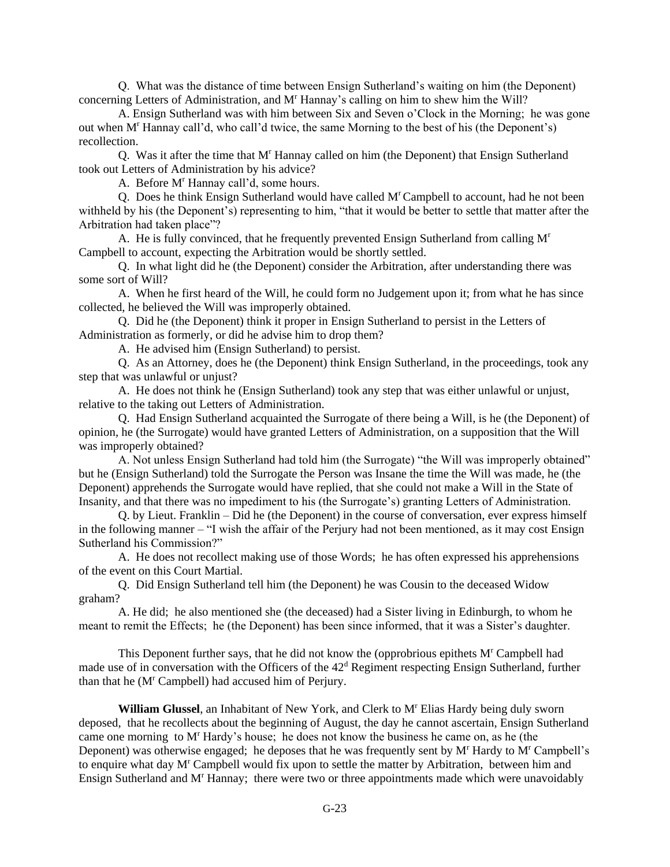Q. What was the distance of time between Ensign Sutherland's waiting on him (the Deponent) concerning Letters of Administration, and M<sup>r</sup> Hannay's calling on him to shew him the Will?

A. Ensign Sutherland was with him between Six and Seven o'Clock in the Morning; he was gone out when M<sup>r</sup> Hannay call'd, who call'd twice, the same Morning to the best of his (the Deponent's) recollection.

Q. Was it after the time that M<sup>r</sup> Hannay called on him (the Deponent) that Ensign Sutherland took out Letters of Administration by his advice?

A. Before M<sup>r</sup> Hannay call'd, some hours.

Q. Does he think Ensign Sutherland would have called M<sup>r</sup>Campbell to account, had he not been withheld by his (the Deponent's) representing to him, "that it would be better to settle that matter after the Arbitration had taken place"?

A. He is fully convinced, that he frequently prevented Ensign Sutherland from calling M<sup>r</sup> Campbell to account, expecting the Arbitration would be shortly settled.

Q. In what light did he (the Deponent) consider the Arbitration, after understanding there was some sort of Will?

A. When he first heard of the Will, he could form no Judgement upon it; from what he has since collected, he believed the Will was improperly obtained.

Q. Did he (the Deponent) think it proper in Ensign Sutherland to persist in the Letters of Administration as formerly, or did he advise him to drop them?

A. He advised him (Ensign Sutherland) to persist.

Q. As an Attorney, does he (the Deponent) think Ensign Sutherland, in the proceedings, took any step that was unlawful or unjust?

A. He does not think he (Ensign Sutherland) took any step that was either unlawful or unjust, relative to the taking out Letters of Administration.

Q. Had Ensign Sutherland acquainted the Surrogate of there being a Will, is he (the Deponent) of opinion, he (the Surrogate) would have granted Letters of Administration, on a supposition that the Will was improperly obtained?

A. Not unless Ensign Sutherland had told him (the Surrogate) "the Will was improperly obtained" but he (Ensign Sutherland) told the Surrogate the Person was Insane the time the Will was made, he (the Deponent) apprehends the Surrogate would have replied, that she could not make a Will in the State of Insanity, and that there was no impediment to his (the Surrogate's) granting Letters of Administration.

Q. by Lieut. Franklin – Did he (the Deponent) in the course of conversation, ever express himself in the following manner – "I wish the affair of the Perjury had not been mentioned, as it may cost Ensign Sutherland his Commission?"

A. He does not recollect making use of those Words; he has often expressed his apprehensions of the event on this Court Martial.

Q. Did Ensign Sutherland tell him (the Deponent) he was Cousin to the deceased Widow graham?

A. He did; he also mentioned she (the deceased) had a Sister living in Edinburgh, to whom he meant to remit the Effects; he (the Deponent) has been since informed, that it was a Sister's daughter.

This Deponent further says, that he did not know the (opprobrious epithets  $M<sup>r</sup>$  Campbell had made use of in conversation with the Officers of the 42<sup>d</sup> Regiment respecting Ensign Sutherland, further than that he (M<sup>r</sup> Campbell) had accused him of Perjury.

**William Glussel**, an Inhabitant of New York, and Clerk to M<sup>r</sup> Elias Hardy being duly sworn deposed, that he recollects about the beginning of August, the day he cannot ascertain, Ensign Sutherland came one morning to M<sup>r</sup> Hardy's house; he does not know the business he came on, as he (the Deponent) was otherwise engaged; he deposes that he was frequently sent by M<sup>r</sup> Hardy to M<sup>r</sup> Campbell's to enquire what day M<sup>r</sup> Campbell would fix upon to settle the matter by Arbitration, between him and Ensign Sutherland and M<sup>r</sup> Hannay; there were two or three appointments made which were unavoidably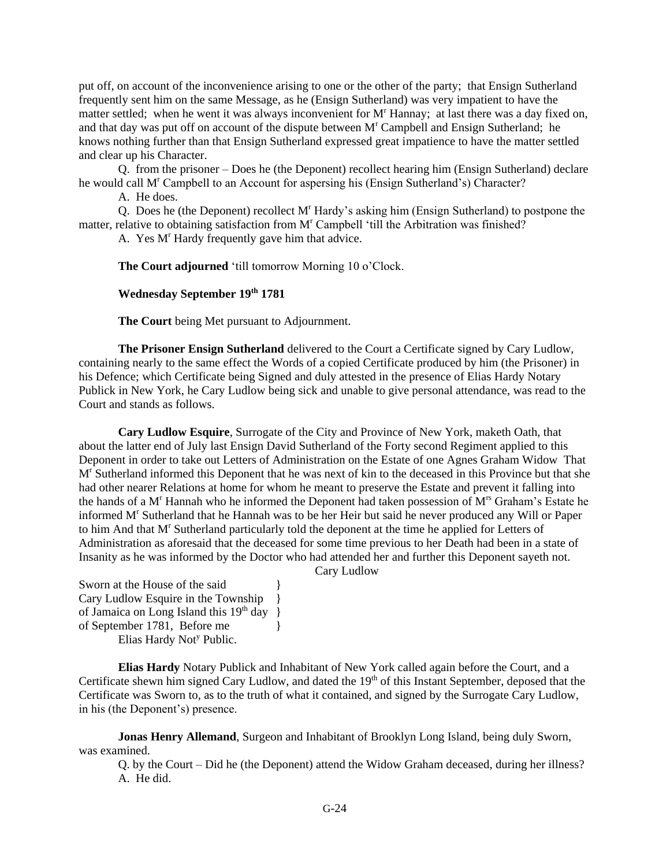put off, on account of the inconvenience arising to one or the other of the party; that Ensign Sutherland frequently sent him on the same Message, as he (Ensign Sutherland) was very impatient to have the matter settled; when he went it was always inconvenient for M<sup>r</sup> Hannay; at last there was a day fixed on, and that day was put off on account of the dispute between M<sup>r</sup> Campbell and Ensign Sutherland; he knows nothing further than that Ensign Sutherland expressed great impatience to have the matter settled and clear up his Character.

Q. from the prisoner – Does he (the Deponent) recollect hearing him (Ensign Sutherland) declare he would call M<sup>r</sup> Campbell to an Account for aspersing his (Ensign Sutherland's) Character?

A. He does.

Q. Does he (the Deponent) recollect  $M<sup>r</sup>$  Hardy's asking him (Ensign Sutherland) to postpone the matter, relative to obtaining satisfaction from M<sup>r</sup> Campbell 'till the Arbitration was finished?

A. Yes M<sup>r</sup> Hardy frequently gave him that advice.

**The Court adjourned** 'till tomorrow Morning 10 o'Clock.

### **Wednesday September 19th 1781**

**The Court** being Met pursuant to Adjournment.

**The Prisoner Ensign Sutherland** delivered to the Court a Certificate signed by Cary Ludlow, containing nearly to the same effect the Words of a copied Certificate produced by him (the Prisoner) in his Defence; which Certificate being Signed and duly attested in the presence of Elias Hardy Notary Publick in New York, he Cary Ludlow being sick and unable to give personal attendance, was read to the Court and stands as follows.

**Cary Ludlow Esquire**, Surrogate of the City and Province of New York, maketh Oath, that about the latter end of July last Ensign David Sutherland of the Forty second Regiment applied to this Deponent in order to take out Letters of Administration on the Estate of one Agnes Graham Widow That M<sup>r</sup> Sutherland informed this Deponent that he was next of kin to the deceased in this Province but that she had other nearer Relations at home for whom he meant to preserve the Estate and prevent it falling into the hands of a M<sup>r</sup> Hannah who he informed the Deponent had taken possession of M<sup>rs</sup> Graham's Estate he informed M<sup>r</sup> Sutherland that he Hannah was to be her Heir but said he never produced any Will or Paper to him And that M<sup>r</sup> Sutherland particularly told the deponent at the time he applied for Letters of Administration as aforesaid that the deceased for some time previous to her Death had been in a state of Insanity as he was informed by the Doctor who had attended her and further this Deponent sayeth not.

Cary Ludlow

Sworn at the House of the said  $\{$ Cary Ludlow Esquire in the Township  $\}$ of Jamaica on Long Island this  $19<sup>th</sup>$  day } of September 1781, Before me } Elias Hardy Not<sup>y</sup> Public.

**Elias Hardy** Notary Publick and Inhabitant of New York called again before the Court, and a Certificate shewn him signed Cary Ludlow, and dated the 19<sup>th</sup> of this Instant September, deposed that the Certificate was Sworn to, as to the truth of what it contained, and signed by the Surrogate Cary Ludlow, in his (the Deponent's) presence.

**Jonas Henry Allemand**, Surgeon and Inhabitant of Brooklyn Long Island, being duly Sworn, was examined.

Q. by the Court – Did he (the Deponent) attend the Widow Graham deceased, during her illness? A. He did.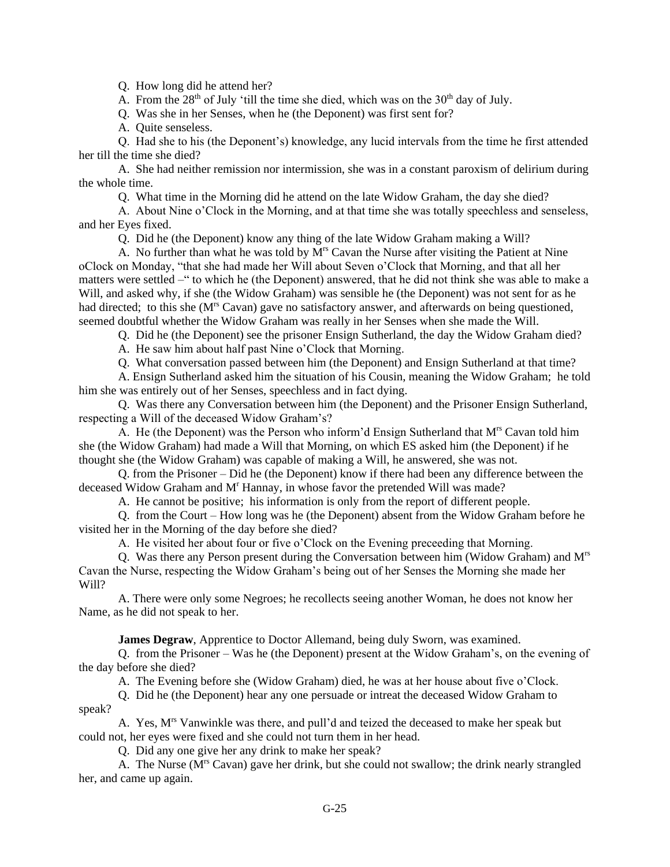Q. How long did he attend her?

A. From the  $28<sup>th</sup>$  of July 'till the time she died, which was on the  $30<sup>th</sup>$  day of July.

Q. Was she in her Senses, when he (the Deponent) was first sent for?

A. Quite senseless.

Q. Had she to his (the Deponent's) knowledge, any lucid intervals from the time he first attended her till the time she died?

A. She had neither remission nor intermission, she was in a constant paroxism of delirium during the whole time.

Q. What time in the Morning did he attend on the late Widow Graham, the day she died?

A. About Nine o'Clock in the Morning, and at that time she was totally speechless and senseless, and her Eyes fixed.

Q. Did he (the Deponent) know any thing of the late Widow Graham making a Will?

A. No further than what he was told by  $M^{rs}$  Cavan the Nurse after visiting the Patient at Nine oClock on Monday, "that she had made her Will about Seven o'Clock that Morning, and that all her matters were settled –" to which he (the Deponent) answered, that he did not think she was able to make a Will, and asked why, if she (the Widow Graham) was sensible he (the Deponent) was not sent for as he had directed; to this she (M<sup>rs</sup> Cavan) gave no satisfactory answer, and afterwards on being questioned, seemed doubtful whether the Widow Graham was really in her Senses when she made the Will.

Q. Did he (the Deponent) see the prisoner Ensign Sutherland, the day the Widow Graham died?

A. He saw him about half past Nine o'Clock that Morning.

Q. What conversation passed between him (the Deponent) and Ensign Sutherland at that time?

A. Ensign Sutherland asked him the situation of his Cousin, meaning the Widow Graham; he told him she was entirely out of her Senses, speechless and in fact dying.

Q. Was there any Conversation between him (the Deponent) and the Prisoner Ensign Sutherland, respecting a Will of the deceased Widow Graham's?

A. He (the Deponent) was the Person who inform'd Ensign Sutherland that M<sup>rs</sup> Cavan told him she (the Widow Graham) had made a Will that Morning, on which ES asked him (the Deponent) if he thought she (the Widow Graham) was capable of making a Will, he answered, she was not.

Q. from the Prisoner – Did he (the Deponent) know if there had been any difference between the deceased Widow Graham and M<sup>r</sup> Hannay, in whose favor the pretended Will was made?

A. He cannot be positive; his information is only from the report of different people.

Q. from the Court – How long was he (the Deponent) absent from the Widow Graham before he visited her in the Morning of the day before she died?

A. He visited her about four or five o'Clock on the Evening preceeding that Morning.

Q. Was there any Person present during the Conversation between him (Widow Graham) and  $M<sup>rs</sup>$ Cavan the Nurse, respecting the Widow Graham's being out of her Senses the Morning she made her Will?

A. There were only some Negroes; he recollects seeing another Woman, he does not know her Name, as he did not speak to her.

**James Degraw**, Apprentice to Doctor Allemand, being duly Sworn, was examined.

Q. from the Prisoner – Was he (the Deponent) present at the Widow Graham's, on the evening of the day before she died?

A. The Evening before she (Widow Graham) died, he was at her house about five o'Clock.

Q. Did he (the Deponent) hear any one persuade or intreat the deceased Widow Graham to speak?

A. Yes, M<sup>rs</sup> Vanwinkle was there, and pull'd and teized the deceased to make her speak but could not, her eyes were fixed and she could not turn them in her head.

Q. Did any one give her any drink to make her speak?

A. The Nurse (M<sup>rs</sup> Cavan) gave her drink, but she could not swallow; the drink nearly strangled her, and came up again.